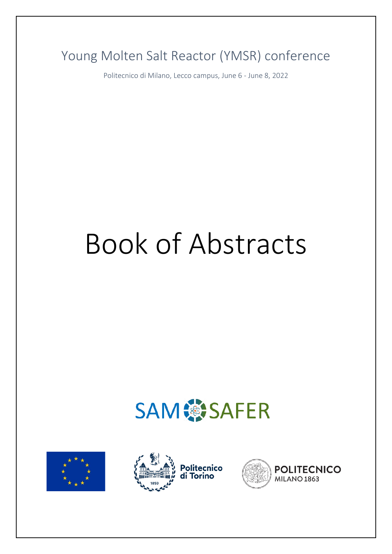Young Molten Salt Reactor (YMSR) conference

Politecnico di Milano, Lecco campus, June 6 - June 8, 2022

# Book of Abstracts







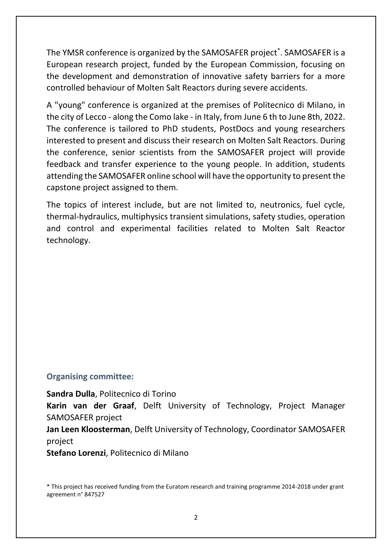The YMSR conference is organized by the SAMOSAFER project<sup>\*</sup>. SAMOSAFER is a European research project, funded by the European Commission, focusing on the development and demonstration of innovative safety barriers for a more controlled behaviour of Molten Salt Reactors during severe accidents.

A "young" conference is organized at the premises of Politecnico di Milano, in the city of Lecco - along the Como lake - in Italy, from June 6 th to June 8th, 2022. The conference is tailored to PhD students, PostDocs and young researchers interested to present and discuss their research on Molten Salt Reactors. During the conference, senior scientists from the SAMOSAFER project will provide feedback and transfer experience to the young people. In addition, students attending the SAMOSAFER online school will have the opportunity to present the capstone project assigned to them.

The topics of interest include, but are not limited to, neutronics, fuel cycle, thermal-hydraulics, multiphysics transient simulations, safety studies, operation and control and experimental facilities related to Molten Salt Reactor technology.

#### **Organising committee:**

**Sandra Dulla**, Politecnico di Torino **Karin van der Graaf**, Delft University of Technology, Project Manager SAMOSAFER project **Jan Leen Kloosterman**, Delft University of Technology, Coordinator SAMOSAFER

project

**Stefano Lorenzi**, Politecnico di Milano

\* This project has received funding from the Euratom research and training programme 2014-2018 under grant agreement n° 847527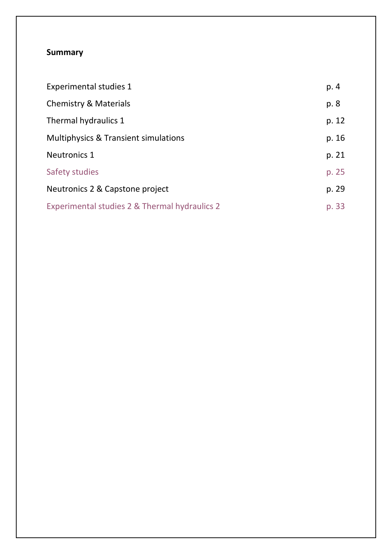#### **Summary**

| <b>Experimental studies 1</b>                 | p. 4  |
|-----------------------------------------------|-------|
| <b>Chemistry &amp; Materials</b>              | p. 8  |
| Thermal hydraulics 1                          | p. 12 |
| Multiphysics & Transient simulations          | p. 16 |
| <b>Neutronics 1</b>                           | p. 21 |
| Safety studies                                | p. 25 |
| Neutronics 2 & Capstone project               | p. 29 |
| Experimental studies 2 & Thermal hydraulics 2 | p. 33 |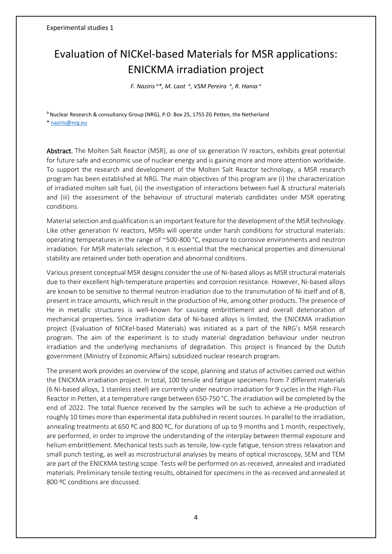## <span id="page-3-0"></span>Evaluation of NICKel-based Materials for MSR applications: ENICKMA irradiation project

*F. Naziris <sup>a</sup>\*, M. Laot <sup>a</sup> , VSM Pereira <sup>a</sup> , R. Hania <sup>a</sup>*

<sup>a</sup> Nuclear Research & consultancy Group (NRG), P.O. Box 25, 1755 ZG Petten, the Netherland

\* [naziris@nrg.eu](mailto:naziris@nrg.eu)

Abstract. The Molten Salt Reactor (MSR), as one of six generation IV reactors, exhibits great potential for future safe and economic use of nuclear energy and is gaining more and more attention worldwide. To support the research and development of the Molten Salt Reactor technology, a MSR research program has been established at NRG. The main objectives of this program are (i) the characterization of irradiated molten salt fuel, (ii) the investigation of interactions between fuel & structural materials and (iii) the assessment of the behaviour of structural materials candidates under MSR operating conditions.

Material selection and qualification is an important feature for the development of the MSR technology. Like other generation IV reactors, MSRs will operate under harsh conditions for structural materials: operating temperatures in the range of ~500-800 °C, exposure to corrosive environments and neutron irradiation. For MSR materials selection, it is essential that the mechanical properties and dimensional stability are retained under both operation and abnormal conditions.

Various present conceptual MSR designs consider the use of Ni-based alloys as MSR structural materials due to their excellent high-temperature properties and corrosion resistance. However, Ni-based alloys are known to be sensitive to thermal neutron irradiation due to the transmutation of Ni itself and of B, present in trace amounts, which result in the production of He, among other products. The presence of He in metallic structures is well-known for causing embrittlement and overall deterioration of mechanical properties. Since irradiation data of Ni-based alloys is limited, the ENICKMA irradiation project (Evaluation of NICKel-based Materials) was initiated as a part of the NRG's MSR research program. The aim of the experiment is to study material degradation behaviour under neutron irradiation and the underlying mechanisms of degradation. This project is financed by the Dutch government (Ministry of Economic Affairs) subsidized nuclear research program.

The present work provides an overview of the scope, planning and status of activities carried out within the ENICKMA irradiation project. In total, 100 tensile and fatigue specimens from 7 different materials (6 Ni-based alloys, 1 stainless steel) are currently under neutron irradiation for 9 cycles in the High-Flux Reactor in Petten, at a temperature range between 650-750 °C. The irradiation will be completed by the end of 2022. The total fluence received by the samples will be such to achieve a He-production of roughly 10 times more than experimental data published in recent sources. In parallel to the irradiation, annealing treatments at 650 ºC and 800 ºC, for durations of up to 9 months and 1 month, respectively, are performed, in order to improve the understanding of the interplay between thermal exposure and helium embrittlement. Mechanical tests such as tensile, low-cycle fatigue, tension stress relaxation and small punch testing, as well as microstructural analyses by means of optical microscopy, SEM and TEM are part of the ENICKMA testing scope. Tests will be performed on as-received, annealed and irradiated materials. Preliminary tensile testing results, obtained for specimens in the as-received and annealed at 800 ºC conditions are discussed.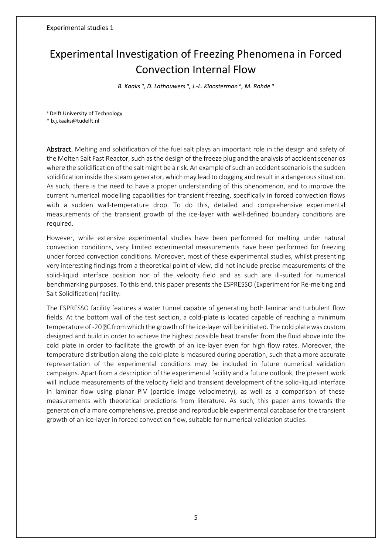## Experimental Investigation of Freezing Phenomena in Forced Convection Internal Flow

*B. Kaaks <sup>a</sup> , D. Lathouwers <sup>a</sup> , J.-L. Kloosterman <sup>a</sup> , M. Rohde <sup>a</sup>*

<sup>a</sup> Delft University of Technology

\* b.j.kaaks@tudelft.nl

Abstract. Melting and solidification of the fuel salt plays an important role in the design and safety of the Molten Salt Fast Reactor, such as the design of the freeze plug and the analysis of accident scenarios where the solidification of the salt might be a risk. An example of such an accident scenario is the sudden solidification inside the steam generator, which may lead to clogging and result in a dangerous situation. As such, there is the need to have a proper understanding of this phenomenon, and to improve the current numerical modelling capabilities for transient freezing, specifically in forced convection flows with a sudden wall-temperature drop. To do this, detailed and comprehensive experimental measurements of the transient growth of the ice-layer with well-defined boundary conditions are required.

However, while extensive experimental studies have been performed for melting under natural convection conditions, very limited experimental measurements have been performed for freezing under forced convection conditions. Moreover, most of these experimental studies, whilst presenting very interesting findings from a theoretical point of view, did not include precise measurements of the solid-liquid interface position nor of the velocity field and as such are ill-suited for numerical benchmarking purposes. To this end, this paper presents the ESPRESSO (Experiment for Re-melting and Salt Solidification) facility.

The ESPRESSO facility features a water tunnel capable of generating both laminar and turbulent flow fields. At the bottom wall of the test section, a cold-plate is located capable of reaching a minimum temperature of -20 PC from which the growth of the ice-layer will be initiated. The cold plate was custom designed and build in order to achieve the highest possible heat transfer from the fluid above into the cold plate in order to facilitate the growth of an ice-layer even for high flow rates. Moreover, the temperature distribution along the cold-plate is measured during operation, such that a more accurate representation of the experimental conditions may be included in future numerical validation campaigns. Apart from a description of the experimental facility and a future outlook, the present work will include measurements of the velocity field and transient development of the solid-liquid interface in laminar flow using planar PIV (particle image velocimetry), as well as a comparison of these measurements with theoretical predictions from literature. As such, this paper aims towards the generation of a more comprehensive, precise and reproducible experimental database for the transient growth of an ice-layer in forced convection flow, suitable for numerical validation studies.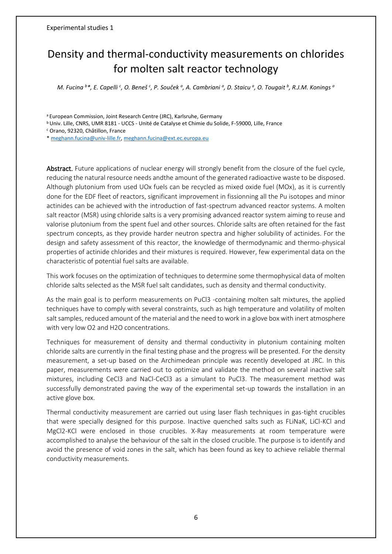## Density and thermal-conductivity measurements on chlorides for molten salt reactor technology

M. Fucina  $^b*$ , E. Capelli  $^c$ , O. Beneš  $^c$ , P. Souček  $^a$ , A. Cambriani  $^a$ , D. Staicu  $^a$ , O. Tougait  $^b$ , R.J.M. Konings  $^a$ 

a European Commission, Joint Research Centre (JRC), Karlsruhe, Germany

<sup>b</sup> Univ. Lille, CNRS, UMR 8181 - UCCS - Unité de Catalyse et Chimie du Solide, F-59000, Lille, France

<sup>c</sup> Orano, 92320, Châtillon, France

\* [meghann.fucina@univ-lille.fr,](mailto:meghann.fucina@univ-lille.fr) [meghann.fucina@ext.ec.europa.eu](mailto:meghann.fucina@ext.ec.europa.eu)

Abstract. Future applications of nuclear energy will strongly benefit from the closure of the fuel cycle, reducing the natural resource needs andthe amount of the generated radioactive waste to be disposed. Although plutonium from used UOx fuels can be recycled as mixed oxide fuel (MOx), as it is currently done for the EDF fleet of reactors, significant improvement in fissionning all the Pu isotopes and minor actinides can be achieved with the introduction of fast-spectrum advanced reactor systems. A molten salt reactor (MSR) using chloride salts is a very promising advanced reactor system aiming to reuse and valorise plutonium from the spent fuel and other sources. Chloride salts are often retained for the fast spectrum concepts, as they provide harder neutron spectra and higher solubility of actinides. For the design and safety assessment of this reactor, the knowledge of thermodynamic and thermo-physical properties of actinide chlorides and their mixtures is required. However, few experimental data on the characteristic of potential fuel salts are available.

This work focuses on the optimization of techniques to determine some thermophysical data of molten chloride salts selected as the MSR fuel salt candidates, such as density and thermal conductivity.

As the main goal is to perform measurements on PuCl3 -containing molten salt mixtures, the applied techniques have to comply with several constraints, such as high temperature and volatility of molten salt samples, reduced amount of the material and the need to work in a glove box with inert atmosphere with very low O2 and H2O concentrations.

Techniques for measurement of density and thermal conductivity in plutonium containing molten chloride salts are currently in the final testing phase and the progress will be presented. For the density measurement, a set-up based on the Archimedean principle was recently developed at JRC. In this paper, measurements were carried out to optimize and validate the method on several inactive salt mixtures, including CeCl3 and NaCl-CeCl3 as a simulant to PuCl3. The measurement method was successfully demonstrated paving the way of the experimental set-up towards the installation in an active glove box.

Thermal conductivity measurement are carried out using laser flash techniques in gas-tight crucibles that were specially designed for this purpose. Inactive quenched salts such as FLiNaK, LiCl-KCl and MgCl2-KCl were enclosed in those crucibles. X-Ray measurements at room temperature were accomplished to analyse the behaviour of the salt in the closed crucible. The purpose is to identify and avoid the presence of void zones in the salt, which has been found as key to achieve reliable thermal conductivity measurements.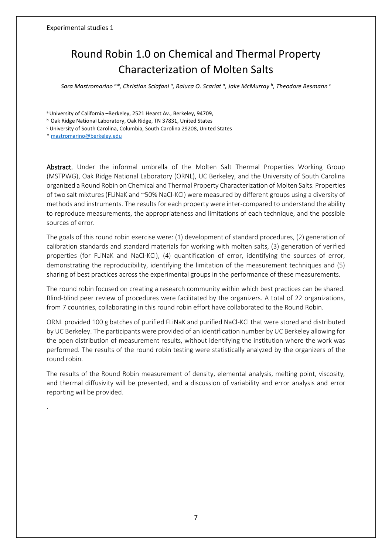## Round Robin 1.0 on Chemical and Thermal Property Characterization of Molten Salts

*Sara Mastromarino <sup>a</sup>\*, Christian Sclafani <sup>a</sup> , Raluca O. Scarlat <sup>a</sup> , Jake McMurray <sup>b</sup> , Theodore Besmann <sup>c</sup>*

<sup>a</sup>University of California –Berkeley, 2521 Hearst Av., Berkeley, 94709,

<sup>b</sup> Oak Ridge National Laboratory, Oak Ridge, TN 37831, United States

<sup>c</sup> University of South Carolina, Columbia, South Carolina 29208, United States

[\\* mastromarino@berkeley.edu](mailto:mastromarino@berkeley.edu)

.

Abstract. Under the informal umbrella of the Molten Salt Thermal Properties Working Group (MSTPWG), Oak Ridge National Laboratory (ORNL), UC Berkeley, and the University of South Carolina organized a Round Robin on Chemical and Thermal Property Characterization of Molten Salts. Properties of two salt mixtures (FLiNaK and ~50% NaCl-KCl) were measured by different groups using a diversity of methods and instruments. The results for each property were inter-compared to understand the ability to reproduce measurements, the appropriateness and limitations of each technique, and the possible sources of error.

The goals of this round robin exercise were: (1) development of standard procedures, (2) generation of calibration standards and standard materials for working with molten salts, (3) generation of verified properties (for FLiNaK and NaCl-KCl), (4) quantification of error, identifying the sources of error, demonstrating the reproducibility, identifying the limitation of the measurement techniques and (5) sharing of best practices across the experimental groups in the performance of these measurements.

The round robin focused on creating a research community within which best practices can be shared. Blind-blind peer review of procedures were facilitated by the organizers. A total of 22 organizations, from 7 countries, collaborating in this round robin effort have collaborated to the Round Robin.

ORNL provided 100 g batches of purified FLiNaK and purified NaCl-KCl that were stored and distributed by UC Berkeley. The participants were provided of an identification number by UC Berkeley allowing for the open distribution of measurement results, without identifying the institution where the work was performed. The results of the round robin testing were statistically analyzed by the organizers of the round robin.

The results of the Round Robin measurement of density, elemental analysis, melting point, viscosity, and thermal diffusivity will be presented, and a discussion of variability and error analysis and error reporting will be provided.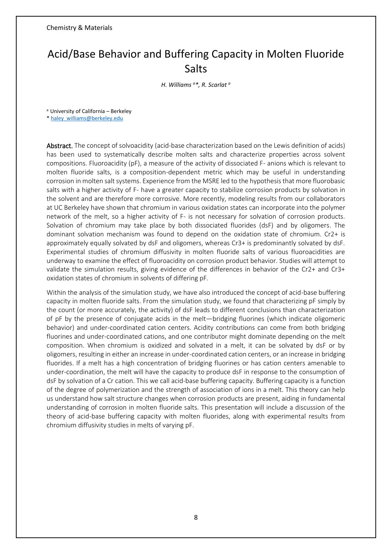Chemistry & Materials

## <span id="page-7-0"></span>Acid/Base Behavior and Buffering Capacity in Molten Fluoride **Salts**

*H. Williams <sup>a</sup>\*, R. Scarlat <sup>a</sup>*

<sup>a</sup> University of California – Berkeley

[\\* haley\\_williams@berkeley.edu](mailto:haley_williams@berkeley.edu)

Abstract. The concept of solvoacidity (acid-base characterization based on the Lewis definition of acids) has been used to systematically describe molten salts and characterize properties across solvent compositions. Fluoroacidity (pF), a measure of the activity of dissociated F- anions which is relevant to molten fluoride salts, is a composition-dependent metric which may be useful in understanding corrosion in molten salt systems. Experience from the MSRE led to the hypothesis that more fluorobasic salts with a higher activity of F- have a greater capacity to stabilize corrosion products by solvation in the solvent and are therefore more corrosive. More recently, modeling results from our collaborators at UC Berkeley have shown that chromium in various oxidation states can incorporate into the polymer network of the melt, so a higher activity of F- is not necessary for solvation of corrosion products. Solvation of chromium may take place by both dissociated fluorides (dsF) and by oligomers. The dominant solvation mechanism was found to depend on the oxidation state of chromium. Cr2+ is approximately equally solvated by dsF and oligomers, whereas Cr3+ is predominantly solvated by dsF. Experimental studies of chromium diffusivity in molten fluoride salts of various fluoroacidities are underway to examine the effect of fluoroacidity on corrosion product behavior. Studies will attempt to validate the simulation results, giving evidence of the differences in behavior of the Cr2+ and Cr3+ oxidation states of chromium in solvents of differing pF.

Within the analysis of the simulation study, we have also introduced the concept of acid-base buffering capacity in molten fluoride salts. From the simulation study, we found that characterizing pF simply by the count (or more accurately, the activity) of dsF leads to different conclusions than characterization of pF by the presence of conjugate acids in the melt—bridging fluorines (which indicate oligomeric behavior) and under-coordinated cation centers. Acidity contributions can come from both bridging fluorines and under-coordinated cations, and one contributor might dominate depending on the melt composition. When chromium is oxidized and solvated in a melt, it can be solvated by dsF or by oligomers, resulting in either an increase in under-coordinated cation centers, or an increase in bridging fluorides. If a melt has a high concentration of bridging fluorines or has cation centers amenable to under-coordination, the melt will have the capacity to produce dsF in response to the consumption of dsF by solvation of a Cr cation. This we call acid-base buffering capacity. Buffering capacity is a function of the degree of polymerization and the strength of association of ions in a melt. This theory can help us understand how salt structure changes when corrosion products are present, aiding in fundamental understanding of corrosion in molten fluoride salts. This presentation will include a discussion of the theory of acid-base buffering capacity with molten fluorides, along with experimental results from chromium diffusivity studies in melts of varying pF.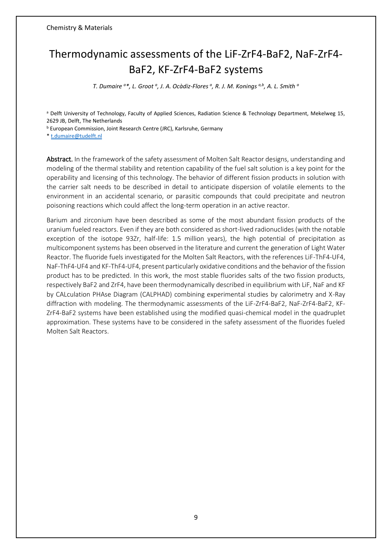## Thermodynamic assessments of the LiF-ZrF4-BaF2, NaF-ZrF4- BaF2, KF-ZrF4-BaF2 systems

*T. Dumaire <sup>a</sup>\*, L. Groot <sup>a</sup> , J. A. Ocàdiz-Flores <sup>a</sup> , R. J. M. Konings a,b, A. L. Smith <sup>a</sup>*

a Delft University of Technology, Faculty of Applied Sciences, Radiation Science & Technology Department, Mekelweg 15, 2629 JB, Delft, The Netherlands

**b European Commission, Joint Research Centre (JRC), Karlsruhe, Germany** 

[\\* t.dumaire@tudelft.nl](mailto:t.dumaire@tudelft.nl)

Abstract. In the framework of the safety assessment of Molten Salt Reactor designs, understanding and modeling of the thermal stability and retention capability of the fuel salt solution is a key point for the operability and licensing of this technology. The behavior of different fission products in solution with the carrier salt needs to be described in detail to anticipate dispersion of volatile elements to the environment in an accidental scenario, or parasitic compounds that could precipitate and neutron poisoning reactions which could affect the long-term operation in an active reactor.

Barium and zirconium have been described as some of the most abundant fission products of the uranium fueled reactors. Even if they are both considered as short-lived radionuclides (with the notable exception of the isotope 93Zr, half-life: 1.5 million years), the high potential of precipitation as multicomponent systems has been observed in the literature and current the generation of Light Water Reactor. The fluoride fuels investigated for the Molten Salt Reactors, with the references LiF-ThF4-UF4, NaF-ThF4-UF4 and KF-ThF4-UF4, present particularly oxidative conditions and the behavior of the fission product has to be predicted. In this work, the most stable fluorides salts of the two fission products, respectively BaF2 and ZrF4, have been thermodynamically described in equilibrium with LiF, NaF and KF by CALculation PHAse Diagram (CALPHAD) combining experimental studies by calorimetry and X-Ray diffraction with modeling. The thermodynamic assessments of the LiF-ZrF4-BaF2, NaF-ZrF4-BaF2, KF-ZrF4-BaF2 systems have been established using the modified quasi-chemical model in the quadruplet approximation. These systems have to be considered in the safety assessment of the fluorides fueled Molten Salt Reactors.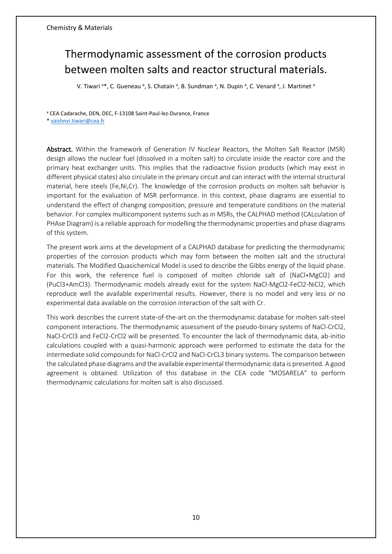## Thermodynamic assessment of the corrosion products between molten salts and reactor structural materials.

V. Tiwari <sup>a\*</sup>, C. Gueneau <sup>a</sup>, S. Chatain <sup>a</sup>, B. Sundman <sup>a</sup>, N. Dupin <sup>a</sup>, C. Venard <sup>a</sup>, J. Martinet <sup>a</sup>

<sup>a</sup> CEA Cadarache, DEN, DEC, F-13108 Saint-Paul-lez-Durance, France

[\\* vaishnvi.tiwari@cea.fr](mailto:vaishnvi.tiwari@cea.fr)

Abstract. Within the framework of Generation IV Nuclear Reactors, the Molten Salt Reactor (MSR) design allows the nuclear fuel (dissolved in a molten salt) to circulate inside the reactor core and the primary heat exchanger units. This implies that the radioactive fission products (which may exist in different physical states) also circulate in the primary circuit and can interact with the internal structural material, here steels (Fe,Ni,Cr). The knowledge of the corrosion products on molten salt behavior is important for the evaluation of MSR performance. In this context, phase diagrams are essential to understand the effect of changing composition, pressure and temperature conditions on the material behavior. For complex multicomponent systems such as in MSRs, the CALPHAD method (CALculation of PHAse Diagram) is a reliable approach for modelling the thermodynamic properties and phase diagrams of this system.

The present work aims at the development of a CALPHAD database for predicting the thermodynamic properties of the corrosion products which may form between the molten salt and the structural materials. The Modified Quasichemical Model is used to describe the Gibbs energy of the liquid phase. For this work, the reference fuel is composed of molten chloride salt of (NaCl+MgCl2) and (PuCl3+AmCl3). Thermodynamic models already exist for the system NaCl-MgCl2-FeCl2-NiCl2, which reproduce well the available experimental results. However, there is no model and very less or no experimental data available on the corrosion interaction of the salt with Cr.

This work describes the current state-of-the-art on the thermodynamic database for molten salt-steel component interactions. The thermodynamic assessment of the pseudo-binary systems of NaCl-CrCl2, NaCl-CrCl3 and FeCl2-CrCl2 will be presented. To encounter the lack of thermodynamic data, ab-initio calculations coupled with a quasi-harmonic approach were performed to estimate the data for the intermediate solid compounds for NaCl-CrCl2 and NaCl-CrCL3 binary systems. The comparison between the calculated phase diagrams and the available experimental thermodynamic data is presented. A good agreement is obtained. Utilization of this database in the CEA code "MOSARELA" to perform thermodynamic calculations for molten salt is also discussed.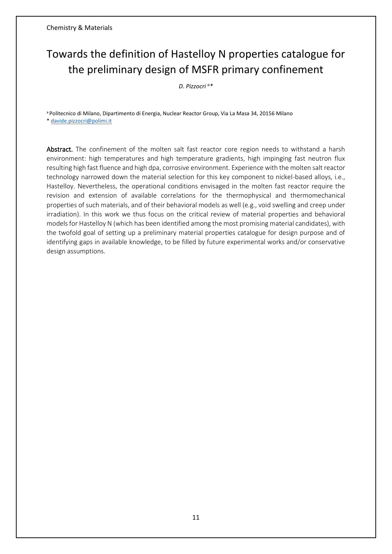## Towards the definition of Hastelloy N properties catalogue for the preliminary design of MSFR primary confinement

*D. Pizzocri <sup>a</sup>\**

a Politecnico di Milano, Dipartimento di Energia, Nuclear Reactor Group, Via La Masa 34, 20156 Milano [\\* davide.pizzocri@polimi.it](mailto:davide.pizzocri@polimi.it)

Abstract. The confinement of the molten salt fast reactor core region needs to withstand a harsh environment: high temperatures and high temperature gradients, high impinging fast neutron flux resulting high fast fluence and high dpa, corrosive environment. Experience with the molten salt reactor technology narrowed down the material selection for this key component to nickel-based alloys, i.e., Hastelloy. Nevertheless, the operational conditions envisaged in the molten fast reactor require the revision and extension of available correlations for the thermophysical and thermomechanical properties of such materials, and of their behavioral models as well (e.g., void swelling and creep under irradiation). In this work we thus focus on the critical review of material properties and behavioral models for Hastelloy N (which has been identified among the most promising material candidates), with the twofold goal of setting up a preliminary material properties catalogue for design purpose and of identifying gaps in available knowledge, to be filled by future experimental works and/or conservative design assumptions.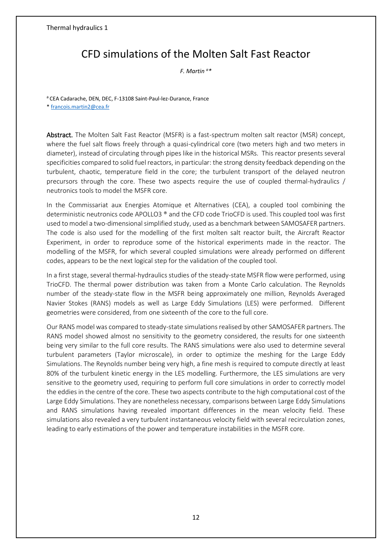#### <span id="page-11-0"></span>Thermal hydraulics 1

#### CFD simulations of the Molten Salt Fast Reactor

*F. Martin <sup>a</sup>\**

<sup>a</sup> CEA Cadarache, DEN, DEC, F-13108 Saint-Paul-lez-Durance, France [\\* francois.martin2@cea.fr](mailto:francois.martin2@cea.fr)

Abstract. The Molten Salt Fast Reactor (MSFR) is a fast-spectrum molten salt reactor (MSR) concept, where the fuel salt flows freely through a quasi-cylindrical core (two meters high and two meters in diameter), instead of circulating through pipes like in the historical MSRs. This reactor presents several specificities compared to solid fuel reactors, in particular: the strong density feedback depending on the turbulent, chaotic, temperature field in the core; the turbulent transport of the delayed neutron precursors through the core. These two aspects require the use of coupled thermal-hydraulics / neutronics tools to model the MSFR core.

In the Commissariat aux Energies Atomique et Alternatives (CEA), a coupled tool combining the deterministic neutronics code APOLLO3 ® and the CFD code TrioCFD is used. This coupled tool was first used to model a two-dimensional simplified study, used as a benchmark between SAMOSAFER partners. The code is also used for the modelling of the first molten salt reactor built, the Aircraft Reactor Experiment, in order to reproduce some of the historical experiments made in the reactor. The modelling of the MSFR, for which several coupled simulations were already performed on different codes, appears to be the next logical step for the validation of the coupled tool.

In a first stage, several thermal-hydraulics studies of the steady-state MSFR flow were performed, using TrioCFD. The thermal power distribution was taken from a Monte Carlo calculation. The Reynolds number of the steady-state flow in the MSFR being approximately one million, Reynolds Averaged Navier Stokes (RANS) models as well as Large Eddy Simulations (LES) were performed. Different geometries were considered, from one sixteenth of the core to the full core.

Our RANS model was compared to steady-state simulations realised by other SAMOSAFER partners. The RANS model showed almost no sensitivity to the geometry considered, the results for one sixteenth being very similar to the full core results. The RANS simulations were also used to determine several turbulent parameters (Taylor microscale), in order to optimize the meshing for the Large Eddy Simulations. The Reynolds number being very high, a fine mesh is required to compute directly at least 80% of the turbulent kinetic energy in the LES modelling. Furthermore, the LES simulations are very sensitive to the geometry used, requiring to perform full core simulations in order to correctly model the eddies in the centre of the core. These two aspects contribute to the high computational cost of the Large Eddy Simulations. They are nonetheless necessary, comparisons between Large Eddy Simulations and RANS simulations having revealed important differences in the mean velocity field. These simulations also revealed a very turbulent instantaneous velocity field with several recirculation zones, leading to early estimations of the power and temperature instabilities in the MSFR core.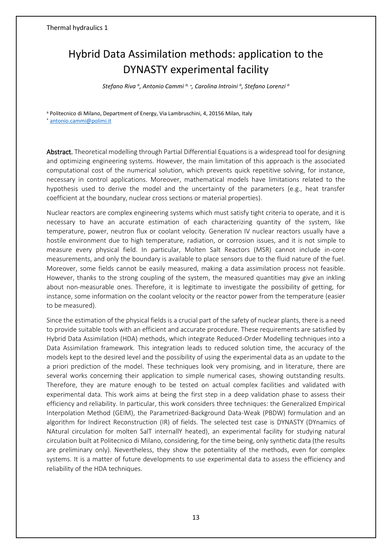## Hybrid Data Assimilation methods: application to the DYNASTY experimental facility

*Stefano Riva <sup>a</sup> , Antonio Cammi a,* <sup>∗</sup> *, Carolina Introini <sup>a</sup> , Stefano Lorenzi <sup>a</sup>*

a Politecnico di Milano, Department of Energy, Via Lambruschini, 4, 20156 Milan, Italy

\* [antonio.cammi@polimi.it](mailto:antonio.cammi@polimi.it)

Abstract. Theoretical modelling through Partial Differential Equations is a widespread tool for designing and optimizing engineering systems. However, the main limitation of this approach is the associated computational cost of the numerical solution, which prevents quick repetitive solving, for instance, necessary in control applications. Moreover, mathematical models have limitations related to the hypothesis used to derive the model and the uncertainty of the parameters (e.g., heat transfer coefficient at the boundary, nuclear cross sections or material properties).

Nuclear reactors are complex engineering systems which must satisfy tight criteria to operate, and it is necessary to have an accurate estimation of each characterizing quantity of the system, like temperature, power, neutron flux or coolant velocity. Generation IV nuclear reactors usually have a hostile environment due to high temperature, radiation, or corrosion issues, and it is not simple to measure every physical field. In particular, Molten Salt Reactors (MSR) cannot include in-core measurements, and only the boundary is available to place sensors due to the fluid nature of the fuel. Moreover, some fields cannot be easily measured, making a data assimilation process not feasible. However, thanks to the strong coupling of the system, the measured quantities may give an inkling about non-measurable ones. Therefore, it is legitimate to investigate the possibility of getting, for instance, some information on the coolant velocity or the reactor power from the temperature (easier to be measured).

Since the estimation of the physical fields is a crucial part of the safety of nuclear plants, there is a need to provide suitable tools with an efficient and accurate procedure. These requirements are satisfied by Hybrid Data Assimilation (HDA) methods, which integrate Reduced-Order Modelling techniques into a Data Assimilation framework. This integration leads to reduced solution time, the accuracy of the models kept to the desired level and the possibility of using the experimental data as an update to the a priori prediction of the model. These techniques look very promising, and in literature, there are several works concerning their application to simple numerical cases, showing outstanding results. Therefore, they are mature enough to be tested on actual complex facilities and validated with experimental data. This work aims at being the first step in a deep validation phase to assess their efficiency and reliability. In particular, this work considers three techniques: the Generalized Empirical Interpolation Method (GEIM), the Parametrized-Background Data-Weak (PBDW) formulation and an algorithm for Indirect Reconstruction (IR) of fields. The selected test case is DYNASTY (DYnamics of NAtural circulation for molten SalT internallY heated), an experimental facility for studying natural circulation built at Politecnico di Milano, considering, for the time being, only synthetic data (the results are preliminary only). Nevertheless, they show the potentiality of the methods, even for complex systems. It is a matter of future developments to use experimental data to assess the efficiency and reliability of the HDA techniques.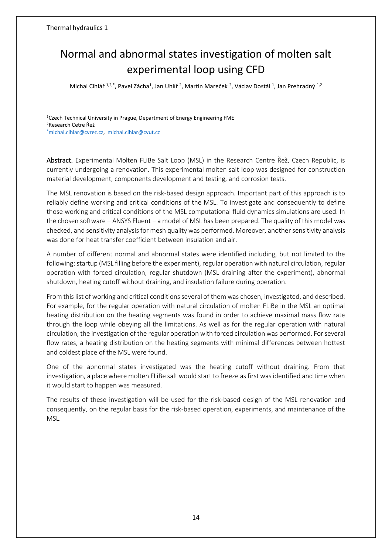## Normal and abnormal states investigation of molten salt experimental loop using CFD

Michal Cihlář<sup>1,2,\*</sup>, Pavel Zácha<sup>1</sup>, Jan Uhlíř<sup>2</sup>, Martin Mareček <sup>2</sup>, Václav Dostál <sup>1</sup>, Jan Prehradný <sup>1,2</sup>

<sup>1</sup>Czech Technical University in Prague, Department of Energy Engineering FME <sup>2</sup>Research Cetre Řež \*[michal.cihlar@cvrez.cz,](mailto:*michal.cihlar@cvrez.cz) [michal.cihlar@cvut.cz](mailto:michal.cihlar@cvut.cz)

Abstract. Experimental Molten FLiBe Salt Loop (MSL) in the Research Centre Řež, Czech Republic, is currently undergoing a renovation. This experimental molten salt loop was designed for construction material development, components development and testing, and corrosion tests.

The MSL renovation is based on the risk-based design approach. Important part of this approach is to reliably define working and critical conditions of the MSL. To investigate and consequently to define those working and critical conditions of the MSL computational fluid dynamics simulations are used. In the chosen software – ANSYS Fluent – a model of MSL has been prepared. The quality of this model was checked, and sensitivity analysis for mesh quality was performed. Moreover, another sensitivity analysis was done for heat transfer coefficient between insulation and air.

A number of different normal and abnormal states were identified including, but not limited to the following: startup (MSL filling before the experiment), regular operation with natural circulation, regular operation with forced circulation, regular shutdown (MSL draining after the experiment), abnormal shutdown, heating cutoff without draining, and insulation failure during operation.

From this list of working and critical conditions several of them was chosen, investigated, and described. For example, for the regular operation with natural circulation of molten FLiBe in the MSL an optimal heating distribution on the heating segments was found in order to achieve maximal mass flow rate through the loop while obeying all the limitations. As well as for the regular operation with natural circulation, the investigation of the regular operation with forced circulation was performed. For several flow rates, a heating distribution on the heating segments with minimal differences between hottest and coldest place of the MSL were found.

One of the abnormal states investigated was the heating cutoff without draining. From that investigation, a place where molten FLiBe salt would start to freeze as first was identified and time when it would start to happen was measured.

The results of these investigation will be used for the risk-based design of the MSL renovation and consequently, on the regular basis for the risk-based operation, experiments, and maintenance of the MSL.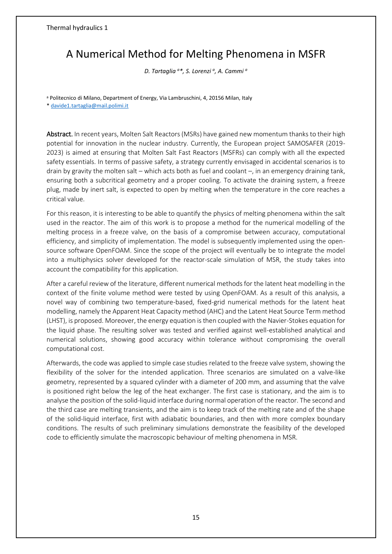## A Numerical Method for Melting Phenomena in MSFR

*D. Tartaglia <sup>a</sup>\*, S. Lorenzi <sup>a</sup> , A. Cammi <sup>a</sup>*

<sup>a</sup> Politecnico di Milano, Department of Energy, Via Lambruschini, 4, 20156 Milan, Italy

[\\* davide1.tartaglia@mail.polimi.it](mailto:davide1.tartaglia@mail.polimi.it)

Abstract. In recent years, Molten Salt Reactors (MSRs) have gained new momentum thanks to their high potential for innovation in the nuclear industry. Currently, the European project SAMOSAFER (2019- 2023) is aimed at ensuring that Molten Salt Fast Reactors (MSFRs) can comply with all the expected safety essentials. In terms of passive safety, a strategy currently envisaged in accidental scenarios is to drain by gravity the molten salt – which acts both as fuel and coolant –, in an emergency draining tank, ensuring both a subcritical geometry and a proper cooling. To activate the draining system, a freeze plug, made by inert salt, is expected to open by melting when the temperature in the core reaches a critical value.

For this reason, it is interesting to be able to quantify the physics of melting phenomena within the salt used in the reactor. The aim of this work is to propose a method for the numerical modelling of the melting process in a freeze valve, on the basis of a compromise between accuracy, computational efficiency, and simplicity of implementation. The model is subsequently implemented using the opensource software OpenFOAM. Since the scope of the project will eventually be to integrate the model into a multiphysics solver developed for the reactor-scale simulation of MSR, the study takes into account the compatibility for this application.

After a careful review of the literature, different numerical methods for the latent heat modelling in the context of the finite volume method were tested by using OpenFOAM. As a result of this analysis, a novel way of combining two temperature-based, fixed-grid numerical methods for the latent heat modelling, namely the Apparent Heat Capacity method (AHC) and the Latent Heat Source Term method (LHST), is proposed. Moreover, the energy equation is then coupled with the Navier-Stokes equation for the liquid phase. The resulting solver was tested and verified against well-established analytical and numerical solutions, showing good accuracy within tolerance without compromising the overall computational cost.

Afterwards, the code was applied to simple case studies related to the freeze valve system, showing the flexibility of the solver for the intended application. Three scenarios are simulated on a valve-like geometry, represented by a squared cylinder with a diameter of 200 mm, and assuming that the valve is positioned right below the leg of the heat exchanger. The first case is stationary, and the aim is to analyse the position of the solid-liquid interface during normal operation of the reactor. The second and the third case are melting transients, and the aim is to keep track of the melting rate and of the shape of the solid-liquid interface, first with adiabatic boundaries, and then with more complex boundary conditions. The results of such preliminary simulations demonstrate the feasibility of the developed code to efficiently simulate the macroscopic behaviour of melting phenomena in MSR.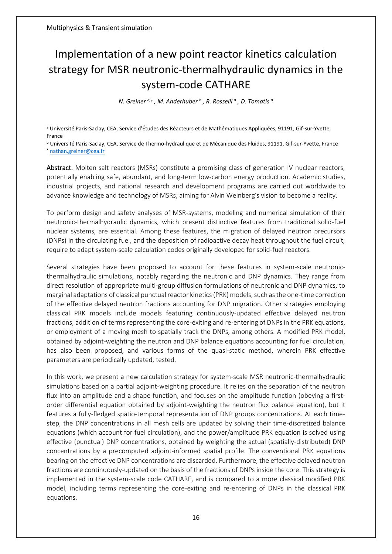## <span id="page-15-0"></span>Implementation of a new point reactor kinetics calculation strategy for MSR neutronic-thermalhydraulic dynamics in the system-code CATHARE

*N. Greiner a,*<sup>∗</sup> *, M. Anderhuber <sup>b</sup> , R. Rosselli <sup>a</sup> , D. Tomatis <sup>a</sup>*

<sup>a</sup> Université Paris-Saclay, CEA, Service d'Études des Réacteurs et de Mathématiques Appliquées, 91191, Gif-sur-Yvette, France

<sup>b</sup> Université Paris-Saclay, CEA, Service de Thermo-hydraulique et de Mécanique des Fluides, 91191, Gif-sur-Yvette, France \* [nathan.greiner@cea.fr](mailto:nathan.greiner@cea.fr)

Abstract. Molten salt reactors (MSRs) constitute a promising class of generation IV nuclear reactors, potentially enabling safe, abundant, and long-term low-carbon energy production. Academic studies, industrial projects, and national research and development programs are carried out worldwide to advance knowledge and technology of MSRs, aiming for Alvin Weinberg's vision to become a reality.

To perform design and safety analyses of MSR-systems, modeling and numerical simulation of their neutronic-thermalhydraulic dynamics, which present distinctive features from traditional solid-fuel nuclear systems, are essential. Among these features, the migration of delayed neutron precursors (DNPs) in the circulating fuel, and the deposition of radioactive decay heat throughout the fuel circuit, require to adapt system-scale calculation codes originally developed for solid-fuel reactors.

Several strategies have been proposed to account for these features in system-scale neutronicthermalhydraulic simulations, notably regarding the neutronic and DNP dynamics. They range from direct resolution of appropriate multi-group diffusion formulations of neutronic and DNP dynamics, to marginal adaptations of classical punctual reactor kinetics (PRK) models, such as the one-time correction of the effective delayed neutron fractions accounting for DNP migration. Other strategies employing classical PRK models include models featuring continuously-updated effective delayed neutron fractions, addition of terms representing the core-exiting and re-entering of DNPs in the PRK equations, or employment of a moving mesh to spatially track the DNPs, among others. A modified PRK model, obtained by adjoint-weighting the neutron and DNP balance equations accounting for fuel circulation, has also been proposed, and various forms of the quasi-static method, wherein PRK effective parameters are periodically updated, tested.

In this work, we present a new calculation strategy for system-scale MSR neutronic-thermalhydraulic simulations based on a partial adjoint-weighting procedure. It relies on the separation of the neutron flux into an amplitude and a shape function, and focuses on the amplitude function (obeying a firstorder differential equation obtained by adjoint-weighting the neutron flux balance equation), but it features a fully-fledged spatio-temporal representation of DNP groups concentrations. At each timestep, the DNP concentrations in all mesh cells are updated by solving their time-discretized balance equations (which account for fuel circulation), and the power/amplitude PRK equation is solved using effective (punctual) DNP concentrations, obtained by weighting the actual (spatially-distributed) DNP concentrations by a precomputed adjoint-informed spatial profile. The conventional PRK equations bearing on the effective DNP concentrations are discarded. Furthermore, the effective delayed neutron fractions are continuously-updated on the basis of the fractions of DNPs inside the core. This strategy is implemented in the system-scale code CATHARE, and is compared to a more classical modified PRK model, including terms representing the core-exiting and re-entering of DNPs in the classical PRK equations.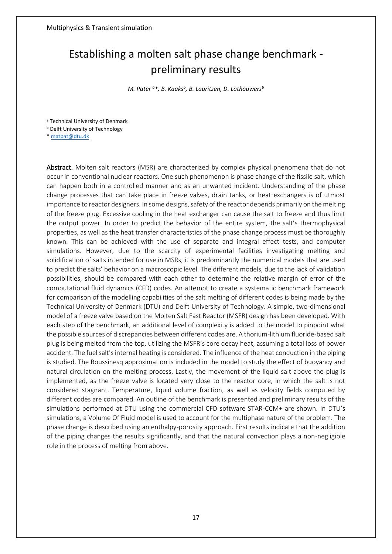## Establishing a molten salt phase change benchmark preliminary results

*M. Pater <sup>a</sup>\*, B. Kaaks<sup>b</sup> , B. Lauritzen, D. Lathouwers<sup>b</sup>*

<sup>a</sup> Technical University of Denmark

**b Delft University of Technology** 

[\\* matpat@dtu.dk](mailto:matpat@dtu.dk)

Abstract. Molten salt reactors (MSR) are characterized by complex physical phenomena that do not occur in conventional nuclear reactors. One such phenomenon is phase change of the fissile salt, which can happen both in a controlled manner and as an unwanted incident. Understanding of the phase change processes that can take place in freeze valves, drain tanks, or heat exchangers is of utmost importance to reactor designers. In some designs, safety of the reactor depends primarily on the melting of the freeze plug. Excessive cooling in the heat exchanger can cause the salt to freeze and thus limit the output power. In order to predict the behavior of the entire system, the salt's thermophysical properties, as well as the heat transfer characteristics of the phase change process must be thoroughly known. This can be achieved with the use of separate and integral effect tests, and computer simulations. However, due to the scarcity of experimental facilities investigating melting and solidification of salts intended for use in MSRs, it is predominantly the numerical models that are used to predict the salts' behavior on a macroscopic level. The different models, due to the lack of validation possibilities, should be compared with each other to determine the relative margin of error of the computational fluid dynamics (CFD) codes. An attempt to create a systematic benchmark framework for comparison of the modelling capabilities of the salt melting of different codes is being made by the Technical University of Denmark (DTU) and Delft University of Technology. A simple, two-dimensional model of a freeze valve based on the Molten Salt Fast Reactor (MSFR) design has been developed. With each step of the benchmark, an additional level of complexity is added to the model to pinpoint what the possible sources of discrepancies between different codes are. A thorium-lithium fluoride-based salt plug is being melted from the top, utilizing the MSFR's core decay heat, assuming a total loss of power accident. The fuel salt's internal heating is considered. The influence of the heat conduction in the piping is studied. The Boussinesq approximation is included in the model to study the effect of buoyancy and natural circulation on the melting process. Lastly, the movement of the liquid salt above the plug is implemented, as the freeze valve is located very close to the reactor core, in which the salt is not considered stagnant. Temperature, liquid volume fraction, as well as velocity fields computed by different codes are compared. An outline of the benchmark is presented and preliminary results of the simulations performed at DTU using the commercial CFD software STAR-CCM+ are shown. In DTU's simulations, a Volume Of Fluid model is used to account for the multiphase nature of the problem. The phase change is described using an enthalpy-porosity approach. First results indicate that the addition of the piping changes the results significantly, and that the natural convection plays a non-negligible role in the process of melting from above.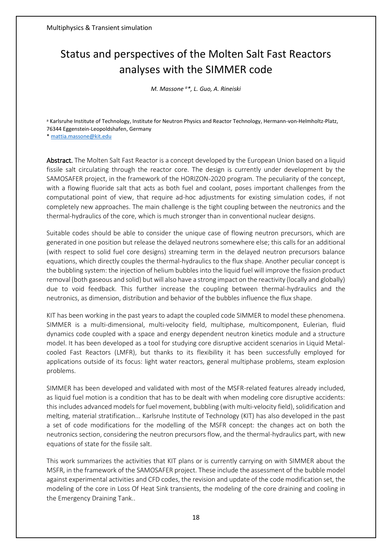## Status and perspectives of the Molten Salt Fast Reactors analyses with the SIMMER code

*M. Massone <sup>a</sup>\*, L. Guo, A. Rineiski*

a Karlsruhe Institute of Technology, Institute for Neutron Physics and Reactor Technology, Hermann-von-Helmholtz-Platz, 76344 Eggenstein-Leopoldshafen, Germany

[\\* mattia.massone@kit.edu](mailto:mattia.massone@kit.edu)

Abstract. The Molten Salt Fast Reactor is a concept developed by the European Union based on a liquid fissile salt circulating through the reactor core. The design is currently under development by the SAMOSAFER project, in the framework of the HORIZON-2020 program. The peculiarity of the concept, with a flowing fluoride salt that acts as both fuel and coolant, poses important challenges from the computational point of view, that require ad-hoc adjustments for existing simulation codes, if not completely new approaches. The main challenge is the tight coupling between the neutronics and the thermal-hydraulics of the core, which is much stronger than in conventional nuclear designs.

Suitable codes should be able to consider the unique case of flowing neutron precursors, which are generated in one position but release the delayed neutrons somewhere else; this calls for an additional (with respect to solid fuel core designs) streaming term in the delayed neutron precursors balance equations, which directly couples the thermal-hydraulics to the flux shape. Another peculiar concept is the bubbling system: the injection of helium bubbles into the liquid fuel will improve the fission product removal (both gaseous and solid) but will also have a strong impact on the reactivity (locally and globally) due to void feedback. This further increase the coupling between thermal-hydraulics and the neutronics, as dimension, distribution and behavior of the bubbles influence the flux shape.

KIT has been working in the past years to adapt the coupled code SIMMER to model these phenomena. SIMMER is a multi-dimensional, multi-velocity field, multiphase, multicomponent, Eulerian, fluid dynamics code coupled with a space and energy dependent neutron kinetics module and a structure model. It has been developed as a tool for studying core disruptive accident scenarios in Liquid Metalcooled Fast Reactors (LMFR), but thanks to its flexibility it has been successfully employed for applications outside of its focus: light water reactors, general multiphase problems, steam explosion problems.

SIMMER has been developed and validated with most of the MSFR-related features already included, as liquid fuel motion is a condition that has to be dealt with when modeling core disruptive accidents: this includes advanced models for fuel movement, bubbling (with multi-velocity field), solidification and melting, material stratification... Karlsruhe Institute of Technology (KIT) has also developed in the past a set of code modifications for the modelling of the MSFR concept: the changes act on both the neutronics section, considering the neutron precursors flow, and the thermal-hydraulics part, with new equations of state for the fissile salt.

This work summarizes the activities that KIT plans or is currently carrying on with SIMMER about the MSFR, in the framework of the SAMOSAFER project. These include the assessment of the bubble model against experimental activities and CFD codes, the revision and update of the code modification set, the modeling of the core in Loss Of Heat Sink transients, the modeling of the core draining and cooling in the Emergency Draining Tank..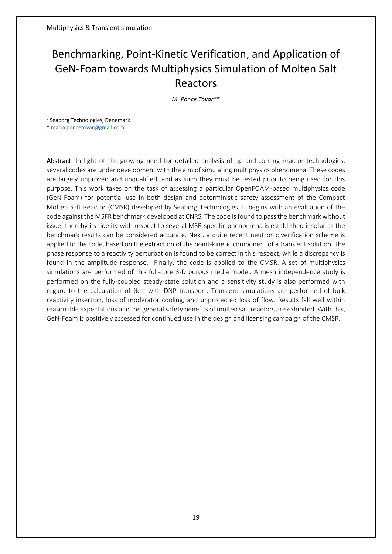## Benchmarking, Point-Kinetic Verification, and Application of GeN-Foam towards Multiphysics Simulation of Molten Salt Reactors

*M. Ponce Tovar <sup>a</sup>\**

<sup>a</sup> Seaborg Technologies, Denemark

[\\* mario.poncetovar@gmail.com](mailto:mario.poncetovar@gmail.com)

Abstract. In light of the growing need for detailed analysis of up-and-coming reactor technologies, several codes are under development with the aim of simulating multiphysics phenomena. These codes are largely unproven and unqualified, and as such they must be tested prior to being used for this purpose. This work takes on the task of assessing a particular OpenFOAM-based multiphysics code (GeN-Foam) for potential use in both design and deterministic safety assessment of the Compact Molten Salt Reactor (CMSR) developed by Seaborg Technologies. It begins with an evaluation of the code against the MSFR benchmark developed at CNRS. The code is found to pass the benchmark without issue; thereby its fidelity with respect to several MSR-specific phenomena is established insofar as the benchmark results can be considered accurate. Next, a quite recent neutronic verification scheme is applied to the code, based on the extraction of the point-kinetic component of a transient solution. The phase response to a reactivity perturbation is found to be correct in this respect, while a discrepancy is found in the amplitude response. Finally, the code is applied to the CMSR. A set of multiphysics simulations are performed of this full-core 3-D porous media model. A mesh independence study is performed on the fully-coupled steady-state solution and a sensitivity study is also performed with regard to the calculation of βeff with DNP transport. Transient simulations are performed of bulk reactivity insertion, loss of moderator cooling, and unprotected loss of flow. Results fall well within reasonable expectations and the general safety benefits of molten salt reactors are exhibited. With this, GeN-Foam is positively assessed for continued use in the design and licensing campaign of the CMSR.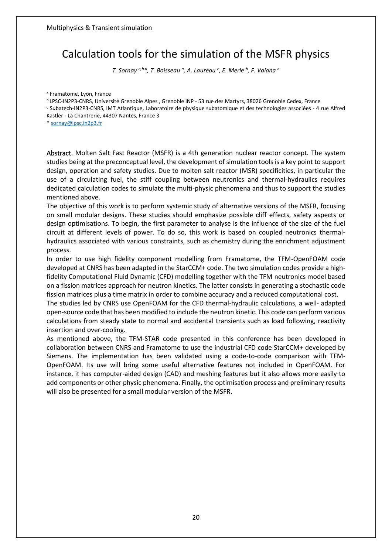### Calculation tools for the simulation of the MSFR physics

*T. Sornay a,b\*, T. Boisseau <sup>a</sup> , A. Laureau <sup>c</sup> , E. Merle <sup>b</sup> , F. Vaiana <sup>a</sup>*

<sup>a</sup> Framatome, Lyon, France

<sup>b</sup>LPSC-IN2P3-CNRS, Université Grenoble Alpes , Grenoble INP - 53 rue des Martyrs, 38026 Grenoble Cedex, France

<sup>c</sup> Subatech-IN2P3-CNRS, IMT Atlantique, Laboratoire de physique subatomique et des technologies associées - 4 rue Alfred Kastler - La Chantrerie, 44307 Nantes, France 3

[\\* sornay@lpsc.in2p3.fr](mailto:sornay@lpsc.in2p3.fr)

Abstract. Molten Salt Fast Reactor (MSFR) is a 4th generation nuclear reactor concept. The system studies being at the preconceptual level, the development of simulation tools is a key point to support design, operation and safety studies. Due to molten salt reactor (MSR) specificities, in particular the use of a circulating fuel, the stiff coupling between neutronics and thermal-hydraulics requires dedicated calculation codes to simulate the multi-physic phenomena and thus to support the studies mentioned above.

The objective of this work is to perform systemic study of alternative versions of the MSFR, focusing on small modular designs. These studies should emphasize possible cliff effects, safety aspects or design optimisations. To begin, the first parameter to analyse is the influence of the size of the fuel circuit at different levels of power. To do so, this work is based on coupled neutronics thermalhydraulics associated with various constraints, such as chemistry during the enrichment adjustment process.

In order to use high fidelity component modelling from Framatome, the TFM-OpenFOAM code developed at CNRS has been adapted in the StarCCM+ code. The two simulation codes provide a highfidelity Computational Fluid Dynamic (CFD) modelling together with the TFM neutronics model based on a fission matrices approach for neutron kinetics. The latter consists in generating a stochastic code fission matrices plus a time matrix in order to combine accuracy and a reduced computational cost.

The studies led by CNRS use OpenFOAM for the CFD thermal-hydraulic calculations, a well- adapted open-source code that has been modified to include the neutron kinetic. This code can perform various calculations from steady state to normal and accidental transients such as load following, reactivity insertion and over-cooling.

As mentioned above, the TFM-STAR code presented in this conference has been developed in collaboration between CNRS and Framatome to use the industrial CFD code StarCCM+ developed by Siemens. The implementation has been validated using a code-to-code comparison with TFM-OpenFOAM. Its use will bring some useful alternative features not included in OpenFOAM. For instance, it has computer-aided design (CAD) and meshing features but it also allows more easily to add components or other physic phenomena. Finally, the optimisation process and preliminary results will also be presented for a small modular version of the MSFR.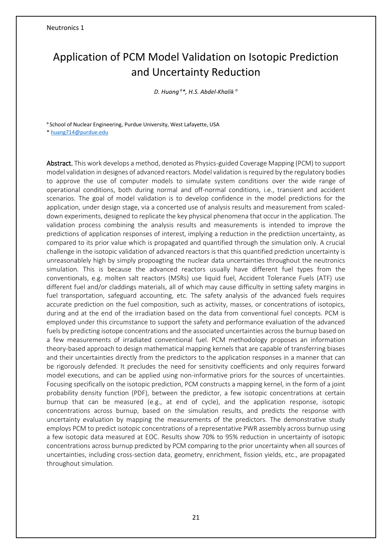## <span id="page-20-0"></span>Application of PCM Model Validation on Isotopic Prediction and Uncertainty Reduction

*D. Huang <sup>a</sup>\*, H.S. Abdel-Khalik <sup>a</sup>*

a School of Nuclear Engineering, Purdue University, West Lafayette, USA

[\\* huang714@purdue.edu](mailto:huang714@purdue.edu)

Abstract. This work develops a method, denoted as Physics-guided Coverage Mapping (PCM) to support model validation in designes of advanced reactors. Model validation is required by the regulatory bodies to approve the use of computer models to simulate system conditions over the wide range of operational conditions, both during normal and off-normal conditions, i.e., transient and accident scenarios. The goal of model validation is to develop confidence in the model predictions for the application, under design stage, via a concerted use of analysis results and measurement from scaleddown experiments, designed to replicate the key physical phenomena that occur in the application. The validation process combining the analysis results and measurements is intended to improve the predictions of application responses of interest, implying a reduction in the predictiion uncertainty, as compared to its prior value which is propagated and quantified through the simulation only. A crucial challenge in the isotopic validation of advanced reactors is that this quantified prediction uncertainty is unreasonablely high by simply propoagting the nuclear data uncertainties throughout the neutronics simulation. This is because the advanced reactors usually have different fuel types from the conventionals, e.g. molten salt reactors (MSRs) use liquid fuel, Accident Tolerance Fuels (ATF) use different fuel and/or claddings materials, all of which may cause difficulty in setting safety margins in fuel transportation, safeguard accounting, etc. The safety analysis of the advanced fuels requires accurate prediction on the fuel composition, such as activity, masses, or concentrations of isotopics, during and at the end of the irradiation based on the data from conventional fuel concepts. PCM is employed under this circumstance to support the safety and performance evaluation of the advanced fuels by predicting isotope concentrations and the associated uncertainties across the burnup based on a few measurements of irradiated conventional fuel. PCM methodology proposes an information theory-based approach to design mathematical mapping kernels that are capable of transferring biases and their uncertainties directly from the predictors to the application responses in a manner that can be rigorously defended. It precludes the need for sensitivity coefficients and only requires forward model executions, and can be applied using non-informative priors for the sources of uncertainties. Focusing specifically on the isotopic prediction, PCM constructs a mapping kernel, in the form of a joint probability density function (PDF), between the predictor, a few isotopic concentrations at certain burnup that can be measured (e.g., at end of cycle), and the application response, isotopic concentrations across burnup, based on the simulation results, and predicts the response with uncertainty evaluation by mapping the measurements of the predictors. The demonstrative study employs PCM to predict isotopic concentrations of a representative PWR assembly across burnup using a few isotopic data measured at EOC. Results show 70% to 95% reduction in uncertainty of isotopic concentrations across burnup predicted by PCM comparing to the prior uncertainty when all sources of uncertainties, including cross-section data, geometry, enrichment, fission yields, etc., are propagated throughout simulation.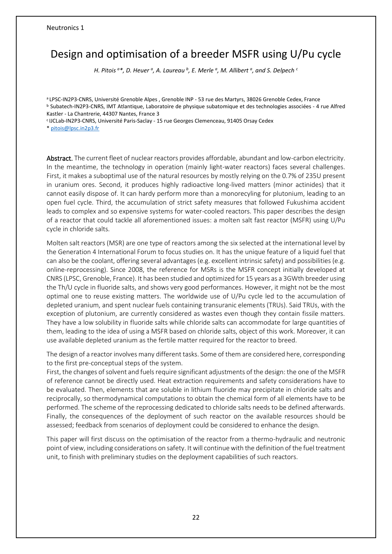## Design and optimisation of a breeder MSFR using U/Pu cycle

*H. Pitois* <sup>*a\*, D. Heuer <sup><i>a*</sup>, A. Laureau <sup>*b*</sup>, E. Merle <sup>*a*</sup>, M. Allibert <sup>*a*</sup>, and S. Delpech <sup>*c*</sup></sup>

<sup>a</sup>LPSC-IN2P3-CNRS, Université Grenoble Alpes , Grenoble INP - 53 rue des Martyrs, 38026 Grenoble Cedex, France <sup>b</sup> Subatech-IN2P3-CNRS, IMT Atlantique, Laboratoire de physique subatomique et des technologies associées - 4 rue Alfred Kastler - La Chantrerie, 44307 Nantes, France 3

<sup>c</sup>IJCLab-IN2P3-CNRS, Université Paris-Saclay - 15 rue Georges Clemenceau, 91405 Orsay Cedex

[\\* pitois@lpsc.in2p3.fr](mailto:pitois@lpsc.in2p3.fr)

Abstract. The current fleet of nuclear reactors provides affordable, abundant and low-carbon electricity. In the meantime, the technology in operation (mainly light-water reactors) faces several challenges. First, it makes a suboptimal use of the natural resources by mostly relying on the 0.7% of 235U present in uranium ores. Second, it produces highly radioactive long-lived matters (minor actinides) that it cannot easily dispose of. It can hardy perform more than a monorecyling for plutonium, leading to an open fuel cycle. Third, the accumulation of strict safety measures that followed Fukushima accident leads to complex and so expensive systems for water-cooled reactors. This paper describes the design of a reactor that could tackle all aforementioned issues: a molten salt fast reactor (MSFR) using U/Pu cycle in chloride salts.

Molten salt reactors (MSR) are one type of reactors among the six selected at the international level by the Generation 4 International Forum to focus studies on. It has the unique feature of a liquid fuel that can also be the coolant, offering several advantages (e.g. excellent intrinsic safety) and possibilities (e.g. online-reprocessing). Since 2008, the reference for MSRs is the MSFR concept initially developed at CNRS (LPSC, Grenoble, France). It has been studied and optimized for 15 years as a 3GWth breeder using the Th/U cycle in fluoride salts, and shows very good performances. However, it might not be the most optimal one to reuse existing matters. The worldwide use of U/Pu cycle led to the accumulation of depleted uranium, and spent nuclear fuels containing transuranic elements (TRUs). Said TRUs, with the exception of plutonium, are currently considered as wastes even though they contain fissile matters. They have a low solubility in fluoride salts while chloride salts can accommodate for large quantities of them, leading to the idea of using a MSFR based on chloride salts, object of this work. Moreover, it can use available depleted uranium as the fertile matter required for the reactor to breed.

The design of a reactor involves many different tasks. Some of them are considered here, corresponding to the first pre-conceptual steps of the system.

First, the changes of solvent and fuels require significant adjustments of the design: the one of the MSFR of reference cannot be directly used. Heat extraction requirements and safety considerations have to be evaluated. Then, elements that are soluble in lithium fluoride may precipitate in chloride salts and reciprocally, so thermodynamical computations to obtain the chemical form of all elements have to be performed. The scheme of the reprocessing dedicated to chloride salts needs to be defined afterwards. Finally, the consequences of the deployment of such reactor on the available resources should be assessed; feedback from scenarios of deployment could be considered to enhance the design.

This paper will first discuss on the optimisation of the reactor from a thermo-hydraulic and neutronic point of view, including considerations on safety. It will continue with the definition of the fuel treatment unit, to finish with preliminary studies on the deployment capabilities of such reactors.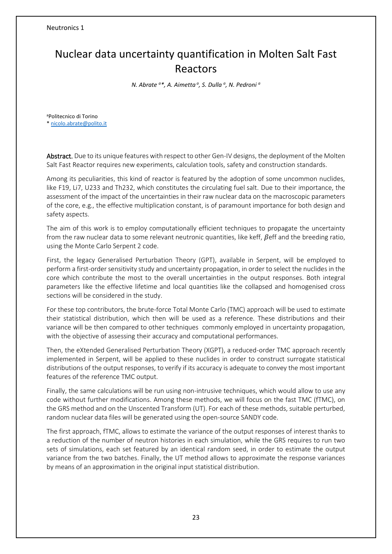## Nuclear data uncertainty quantification in Molten Salt Fast Reactors

*N. Abrate <sup>a</sup>\*, A. Aimetta <sup>a</sup> , S. Dulla <sup>a</sup> , N. Pedroni <sup>a</sup>*

<sup>a</sup>Politecnico di Torino [\\* nicolo.abrate@polito.it](mailto:nicolo.abrate@polito.it)

Abstract. Due to its unique features with respect to other Gen-IV designs, the deployment of the Molten Salt Fast Reactor requires new experiments, calculation tools, safety and construction standards.

Among its peculiarities, this kind of reactor is featured by the adoption of some uncommon nuclides, like F19, Li7, U233 and Th232, which constitutes the circulating fuel salt. Due to their importance, the assessment of the impact of the uncertainties in their raw nuclear data on the macroscopic parameters of the core, e.g., the effective multiplication constant, is of paramount importance for both design and safety aspects.

The aim of this work is to employ computationally efficient techniques to propagate the uncertainty from the raw nuclear data to some relevant neutronic quantities, like keff,  $\beta$ eff and the breeding ratio, using the Monte Carlo Serpent 2 code.

First, the legacy Generalised Perturbation Theory (GPT), available in Serpent, will be employed to perform a first-order sensitivity study and uncertainty propagation, in order to select the nuclides in the core which contribute the most to the overall uncertainties in the output responses. Both integral parameters like the effective lifetime and local quantities like the collapsed and homogenised cross sections will be considered in the study.

For these top contributors, the brute-force Total Monte Carlo (TMC) approach will be used to estimate their statistical distribution, which then will be used as a reference. These distributions and their variance will be then compared to other techniques commonly employed in uncertainty propagation, with the objective of assessing their accuracy and computational performances.

Then, the eXtended Generalised Perturbation Theory (XGPT), a reduced-order TMC approach recently implemented in Serpent, will be applied to these nuclides in order to construct surrogate statistical distributions of the output responses, to verify if its accuracy is adequate to convey the most important features of the reference TMC output.

Finally, the same calculations will be run using non-intrusive techniques, which would allow to use any code without further modifications. Among these methods, we will focus on the fast TMC (fTMC), on the GRS method and on the Unscented Transform (UT). For each of these methods, suitable perturbed, random nuclear data files will be generated using the open-source SANDY code.

The first approach, fTMC, allows to estimate the variance of the output responses of interest thanks to a reduction of the number of neutron histories in each simulation, while the GRS requires to run two sets of simulations, each set featured by an identical random seed, in order to estimate the output variance from the two batches. Finally, the UT method allows to approximate the response variances by means of an approximation in the original input statistical distribution.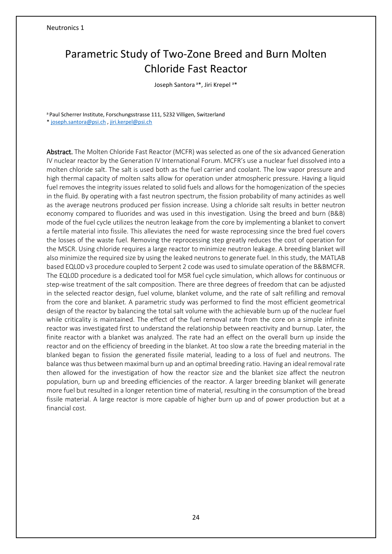## Parametric Study of Two-Zone Breed and Burn Molten Chloride Fast Reactor

Joseph Santora<sup>a\*</sup>, Jiri Krepel<sup>a\*</sup>

a Paul Scherrer Institute, Forschungsstrasse 111, 5232 Villigen, Switzerland

\* [joseph.santora@psi.ch](mailto:joseph.santora@psi.ch) [, jiri.kerpel@psi.ch](mailto:jiri.kerpel@psi.ch)

Abstract. The Molten Chloride Fast Reactor (MCFR) was selected as one of the six advanced Generation IV nuclear reactor by the Generation IV International Forum. MCFR's use a nuclear fuel dissolved into a molten chloride salt. The salt is used both as the fuel carrier and coolant. The low vapor pressure and high thermal capacity of molten salts allow for operation under atmospheric pressure. Having a liquid fuel removes the integrity issues related to solid fuels and allows for the homogenization of the species in the fluid. By operating with a fast neutron spectrum, the fission probability of many actinides as well as the average neutrons produced per fission increase. Using a chloride salt results in better neutron economy compared to fluorides and was used in this investigation. Using the breed and burn (B&B) mode of the fuel cycle utilizes the neutron leakage from the core by implementing a blanket to convert a fertile material into fissile. This alleviates the need for waste reprocessing since the bred fuel covers the losses of the waste fuel. Removing the reprocessing step greatly reduces the cost of operation for the MSCR. Using chloride requires a large reactor to minimize neutron leakage. A breeding blanket will also minimize the required size by using the leaked neutrons to generate fuel. In this study, the MATLAB based EQL0D v3 procedure coupled to Serpent 2 code was used to simulate operation of the B&BMCFR. The EQL0D procedure is a dedicated tool for MSR fuel cycle simulation, which allows for continuous or step-wise treatment of the salt composition. There are three degrees of freedom that can be adjusted in the selected reactor design, fuel volume, blanket volume, and the rate of salt refilling and removal from the core and blanket. A parametric study was performed to find the most efficient geometrical design of the reactor by balancing the total salt volume with the achievable burn up of the nuclear fuel while criticality is maintained. The effect of the fuel removal rate from the core on a simple infinite reactor was investigated first to understand the relationship between reactivity and burnup. Later, the finite reactor with a blanket was analyzed. The rate had an effect on the overall burn up inside the reactor and on the efficiency of breeding in the blanket. At too slow a rate the breeding material in the blanked began to fission the generated fissile material, leading to a loss of fuel and neutrons. The balance was thus between maximal burn up and an optimal breeding ratio. Having an ideal removal rate then allowed for the investigation of how the reactor size and the blanket size affect the neutron population, burn up and breeding efficiencies of the reactor. A larger breeding blanket will generate more fuel but resulted in a longer retention time of material, resulting in the consumption of the bread fissile material. A large reactor is more capable of higher burn up and of power production but at a financial cost.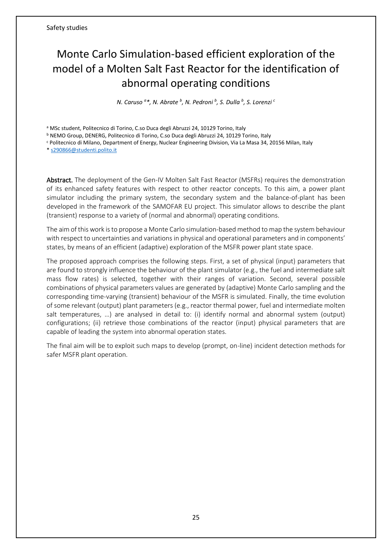## <span id="page-24-0"></span>Monte Carlo Simulation-based efficient exploration of the model of a Molten Salt Fast Reactor for the identification of abnormal operating conditions

*N. Caruso <sup>a</sup>\*, N. Abrate <sup>b</sup> , N. Pedroni <sup>b</sup> , S. Dulla <sup>b</sup> , S. Lorenzi <sup>c</sup>*

a MSc student, Politecnico di Torino, C.so Duca degli Abruzzi 24, 10129 Torino, Italy

<sup>b</sup> NEMO Group, DENERG, Politecnico di Torino, C.so Duca degli Abruzzi 24, 10129 Torino, Italy

<sup>c</sup> Politecnico di Milano, Department of Energy, Nuclear Engineering Division, Via La Masa 34, 20156 Milan, Italy

[\\* s290866@studenti.polito.it](mailto:s290866@studenti.polito.it)

Abstract. The deployment of the Gen-IV Molten Salt Fast Reactor (MSFRs) requires the demonstration of its enhanced safety features with respect to other reactor concepts. To this aim, a power plant simulator including the primary system, the secondary system and the balance-of-plant has been developed in the framework of the SAMOFAR EU project. This simulator allows to describe the plant (transient) response to a variety of (normal and abnormal) operating conditions.

The aim of this work is to propose a Monte Carlo simulation-based method to map the system behaviour with respect to uncertainties and variations in physical and operational parameters and in components' states, by means of an efficient (adaptive) exploration of the MSFR power plant state space.

The proposed approach comprises the following steps. First, a set of physical (input) parameters that are found to strongly influence the behaviour of the plant simulator (e.g., the fuel and intermediate salt mass flow rates) is selected, together with their ranges of variation. Second, several possible combinations of physical parameters values are generated by (adaptive) Monte Carlo sampling and the corresponding time-varying (transient) behaviour of the MSFR is simulated. Finally, the time evolution of some relevant (output) plant parameters (e.g., reactor thermal power, fuel and intermediate molten salt temperatures, ...) are analysed in detail to: (i) identify normal and abnormal system (output) configurations; (ii) retrieve those combinations of the reactor (input) physical parameters that are capable of leading the system into abnormal operation states.

The final aim will be to exploit such maps to develop (prompt, on-line) incident detection methods for safer MSFR plant operation.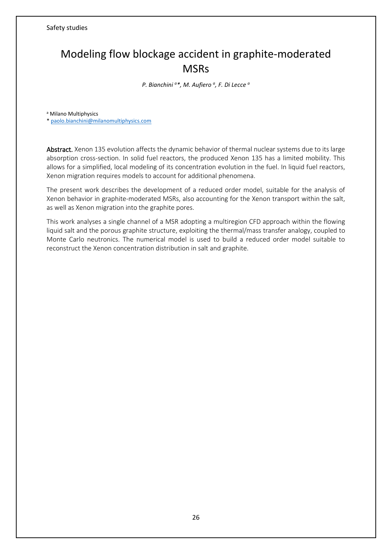## Modeling flow blockage accident in graphite-moderated **MSR<sub>S</sub>**

*P. Bianchini <sup>a</sup>\*, M. Aufiero <sup>a</sup> , F. Di Lecce <sup>a</sup>*

<sup>a</sup> Milano Multiphysics

[\\* paolo.bianchini@milanomultiphysics.com](mailto:paolo.bianchini@milanomultiphysics.com)

Abstract. Xenon 135 evolution affects the dynamic behavior of thermal nuclear systems due to its large absorption cross-section. In solid fuel reactors, the produced Xenon 135 has a limited mobility. This allows for a simplified, local modeling of its concentration evolution in the fuel. In liquid fuel reactors, Xenon migration requires models to account for additional phenomena.

The present work describes the development of a reduced order model, suitable for the analysis of Xenon behavior in graphite-moderated MSRs, also accounting for the Xenon transport within the salt, as well as Xenon migration into the graphite pores.

This work analyses a single channel of a MSR adopting a multiregion CFD approach within the flowing liquid salt and the porous graphite structure, exploiting the thermal/mass transfer analogy, coupled to Monte Carlo neutronics. The numerical model is used to build a reduced order model suitable to reconstruct the Xenon concentration distribution in salt and graphite.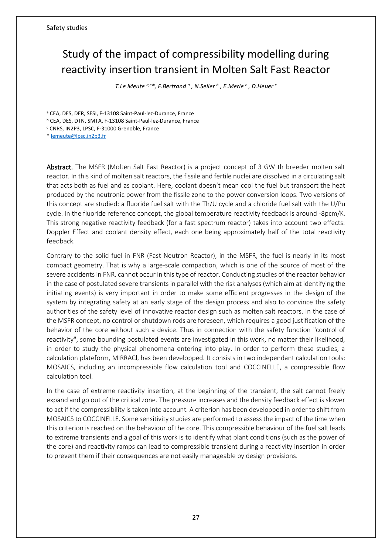## Study of the impact of compressibility modelling during reactivity insertion transient in Molten Salt Fast Reactor

*T.Le Meute a,c\*, F.Bertrand <sup>a</sup> , N.Seiler <sup>b</sup> , E.Merle <sup>c</sup> , D.Heuer <sup>c</sup>*

<sup>a</sup> CEA, DES, DER, SESI, F-13108 Saint-Paul-lez-Durance, France <sup>b</sup> CEA, DES, DTN, SMTA, F-13108 Saint-Paul-lez-Durance, France

<sup>c</sup> CNRS, IN2P3, LPSC, F-31000 Grenoble, France

[\\* lemeute@lpsc.in2p3.fr](mailto:lemeute@lpsc.in2p3.fr)

Abstract. The MSFR (Molten Salt Fast Reactor) is a project concept of 3 GW th breeder molten salt reactor. In this kind of molten salt reactors, the fissile and fertile nuclei are dissolved in a circulating salt that acts both as fuel and as coolant. Here, coolant doesn't mean cool the fuel but transport the heat produced by the neutronic power from the fissile zone to the power conversion loops. Two versions of this concept are studied: a fluoride fuel salt with the Th/U cycle and a chloride fuel salt with the U/Pu cycle. In the fluoride reference concept, the global temperature reactivity feedback is around -8pcm/K. This strong negative reactivity feedback (for a fast spectrum reactor) takes into account two effects: Doppler Effect and coolant density effect, each one being approximately half of the total reactivity feedback.

Contrary to the solid fuel in FNR (Fast Neutron Reactor), in the MSFR, the fuel is nearly in its most compact geometry. That is why a large-scale compaction, which is one of the source of most of the severe accidents in FNR, cannot occur in this type of reactor. Conducting studies of the reactor behavior in the case of postulated severe transients in parallel with the risk analyses (which aim at identifying the initiating events) is very important in order to make some efficient progresses in the design of the system by integrating safety at an early stage of the design process and also to convince the safety authorities of the safety level of innovative reactor design such as molten salt reactors. In the case of the MSFR concept, no control or shutdown rods are foreseen, which requires a good justification of the behavior of the core without such a device. Thus in connection with the safety function "control of reactivity", some bounding postulated events are investigated in this work, no matter their likelihood, in order to study the physical phenomena entering into play. In order to perform these studies, a calculation plateform, MIRRACl, has been developped. It consists in two independant calculation tools: MOSAICS, including an incompressible flow calculation tool and COCCINELLE, a compressible flow calculation tool.

In the case of extreme reactivity insertion, at the beginning of the transient, the salt cannot freely expand and go out of the critical zone. The pressure increases and the density feedback effect is slower to act if the compressibility is taken into account. A criterion has been developped in order to shift from MOSAICS to COCCINELLE. Some sensitivity studies are performed to assess the impact of the time when this criterion is reached on the behaviour of the core. This compressible behaviour of the fuel salt leads to extreme transients and a goal of this work is to identify what plant conditions (such as the power of the core) and reactivity ramps can lead to compressible transient during a reactivity insertion in order to prevent them if their consequences are not easily manageable by design provisions.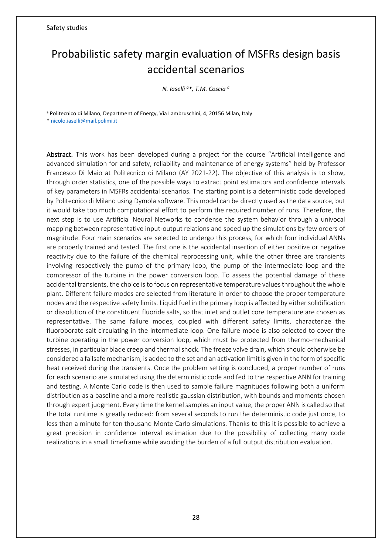## Probabilistic safety margin evaluation of MSFRs design basis accidental scenarios

*N. Iaselli <sup>a</sup>\*, T.M. Coscia <sup>a</sup>*

a Politecnico di Milano, Department of Energy, Via Lambruschini, 4, 20156 Milan, Italy

[\\* nicolo.iaselli@mail.polimi.it](mailto:nicolo.iaselli@mail.polimi.it)

Abstract. This work has been developed during a project for the course "Artificial intelligence and advanced simulation for and safety, reliability and maintenance of energy systems" held by Professor Francesco Di Maio at Politecnico di Milano (AY 2021-22). The objective of this analysis is to show, through order statistics, one of the possible ways to extract point estimators and confidence intervals of key parameters in MSFRs accidental scenarios. The starting point is a deterministic code developed by Politecnico di Milano using Dymola software. This model can be directly used as the data source, but it would take too much computational effort to perform the required number of runs. Therefore, the next step is to use Artificial Neural Networks to condense the system behavior through a univocal mapping between representative input-output relations and speed up the simulations by few orders of magnitude. Four main scenarios are selected to undergo this process, for which four individual ANNs are properly trained and tested. The first one is the accidental insertion of either positive or negative reactivity due to the failure of the chemical reprocessing unit, while the other three are transients involving respectively the pump of the primary loop, the pump of the intermediate loop and the compressor of the turbine in the power conversion loop. To assess the potential damage of these accidental transients, the choice is to focus on representative temperature values throughout the whole plant. Different failure modes are selected from literature in order to choose the proper temperature nodes and the respective safety limits. Liquid fuel in the primary loop is affected by either solidification or dissolution of the constituent fluoride salts, so that inlet and outlet core temperature are chosen as representative. The same failure modes, coupled with different safety limits, characterize the fluoroborate salt circulating in the intermediate loop. One failure mode is also selected to cover the turbine operating in the power conversion loop, which must be protected from thermo-mechanical stresses, in particular blade creep and thermal shock. The freeze valve drain, which should otherwise be considered a failsafe mechanism, is added to the set and an activation limit is given in the form of specific heat received during the transients. Once the problem setting is concluded, a proper number of runs for each scenario are simulated using the deterministic code and fed to the respective ANN for training and testing. A Monte Carlo code is then used to sample failure magnitudes following both a uniform distribution as a baseline and a more realistic gaussian distribution, with bounds and moments chosen through expert judgment. Every time the kernel samples an input value, the proper ANN is called so that the total runtime is greatly reduced: from several seconds to run the deterministic code just once, to less than a minute for ten thousand Monte Carlo simulations. Thanks to this it is possible to achieve a great precision in confidence interval estimation due to the possibility of collecting many code realizations in a small timeframe while avoiding the burden of a full output distribution evaluation.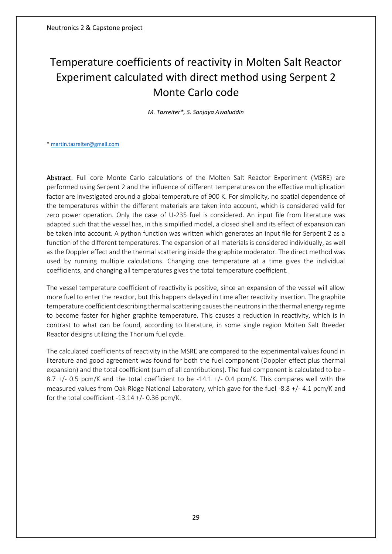## <span id="page-28-0"></span>Temperature coefficients of reactivity in Molten Salt Reactor Experiment calculated with direct method using Serpent 2 Monte Carlo code

*M. Tazreiter\*, S. Sanjaya Awaluddin*

[\\* martin.tazreiter@gmail.com](mailto:martin.tazreiter@gmail.com)

Abstract. Full core Monte Carlo calculations of the Molten Salt Reactor Experiment (MSRE) are performed using Serpent 2 and the influence of different temperatures on the effective multiplication factor are investigated around a global temperature of 900 K. For simplicity, no spatial dependence of the temperatures within the different materials are taken into account, which is considered valid for zero power operation. Only the case of U-235 fuel is considered. An input file from literature was adapted such that the vessel has, in this simplified model, a closed shell and its effect of expansion can be taken into account. A python function was written which generates an input file for Serpent 2 as a function of the different temperatures. The expansion of all materials is considered individually, as well as the Doppler effect and the thermal scattering inside the graphite moderator. The direct method was used by running multiple calculations. Changing one temperature at a time gives the individual coefficients, and changing all temperatures gives the total temperature coefficient.

The vessel temperature coefficient of reactivity is positive, since an expansion of the vessel will allow more fuel to enter the reactor, but this happens delayed in time after reactivity insertion. The graphite temperature coefficient describing thermal scattering causes the neutrons in the thermal energy regime to become faster for higher graphite temperature. This causes a reduction in reactivity, which is in contrast to what can be found, according to literature, in some single region Molten Salt Breeder Reactor designs utilizing the Thorium fuel cycle.

The calculated coefficients of reactivity in the MSRE are compared to the experimental values found in literature and good agreement was found for both the fuel component (Doppler effect plus thermal expansion) and the total coefficient (sum of all contributions). The fuel component is calculated to be - 8.7  $+/-$  0.5 pcm/K and the total coefficient to be -14.1  $+/-$  0.4 pcm/K. This compares well with the measured values from Oak Ridge National Laboratory, which gave for the fuel -8.8 +/- 4.1 pcm/K and for the total coefficient -13.14 +/- 0.36 pcm/K.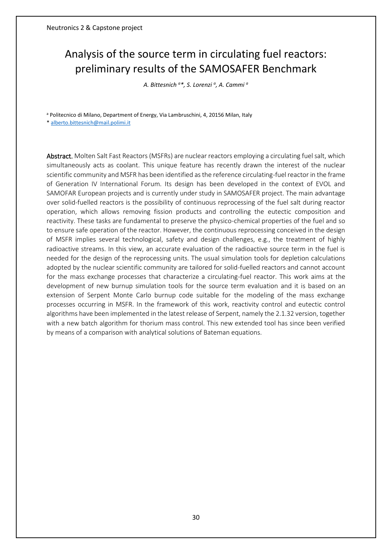## Analysis of the source term in circulating fuel reactors: preliminary results of the SAMOSAFER Benchmark

*A. Bittesnich <sup>a</sup>\*, S. Lorenzi <sup>a</sup> , A. Cammi <sup>a</sup>*

<sup>a</sup> Politecnico di Milano, Department of Energy, Via Lambruschini, 4, 20156 Milan, Italy

[\\* alberto.bittesnich@mail.polimi.it](mailto:alberto.bittesnich@mail.polimi.it)

Abstract. Molten Salt Fast Reactors (MSFRs) are nuclear reactors employing a circulating fuel salt, which simultaneously acts as coolant. This unique feature has recently drawn the interest of the nuclear scientific community and MSFR has been identified as the reference circulating-fuel reactor in the frame of Generation IV International Forum. Its design has been developed in the context of EVOL and SAMOFAR European projects and is currently under study in SAMOSAFER project. The main advantage over solid-fuelled reactors is the possibility of continuous reprocessing of the fuel salt during reactor operation, which allows removing fission products and controlling the eutectic composition and reactivity. These tasks are fundamental to preserve the physico-chemical properties of the fuel and so to ensure safe operation of the reactor. However, the continuous reprocessing conceived in the design of MSFR implies several technological, safety and design challenges, e.g., the treatment of highly radioactive streams. In this view, an accurate evaluation of the radioactive source term in the fuel is needed for the design of the reprocessing units. The usual simulation tools for depletion calculations adopted by the nuclear scientific community are tailored for solid-fuelled reactors and cannot account for the mass exchange processes that characterize a circulating-fuel reactor. This work aims at the development of new burnup simulation tools for the source term evaluation and it is based on an extension of Serpent Monte Carlo burnup code suitable for the modeling of the mass exchange processes occurring in MSFR. In the framework of this work, reactivity control and eutectic control algorithms have been implemented in the latest release of Serpent, namely the 2.1.32 version, together with a new batch algorithm for thorium mass control. This new extended tool has since been verified by means of a comparison with analytical solutions of Bateman equations.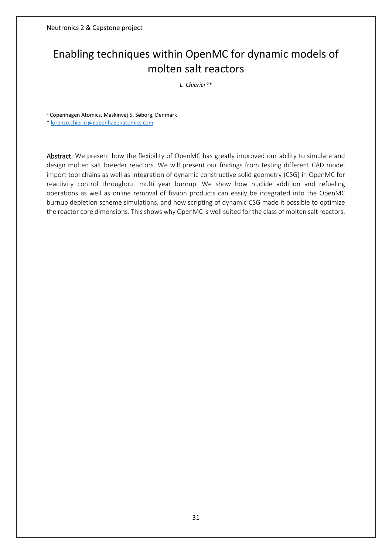## Enabling techniques within OpenMC for dynamic models of molten salt reactors

*L. Chierici <sup>a</sup>\**

<sup>a</sup> Copenhagen Atomics, Maskinvej 5, Søborg, Denmark

\* lorenzo.chierici@copenhagenatomics.com

Abstract. We present how the flexibility of OpenMC has greatly improved our ability to simulate and design molten salt breeder reactors. We will present our findings from testing different CAD model import tool chains as well as integration of dynamic constructive solid geometry (CSG) in OpenMC for reactivity control throughout multi year burnup. We show how nuclide addition and refueling operations as well as online removal of fission products can easily be integrated into the OpenMC burnup depletion scheme simulations, and how scripting of dynamic CSG made it possible to optimize the reactor core dimensions. This shows why OpenMC is well suited for the class of molten salt reactors.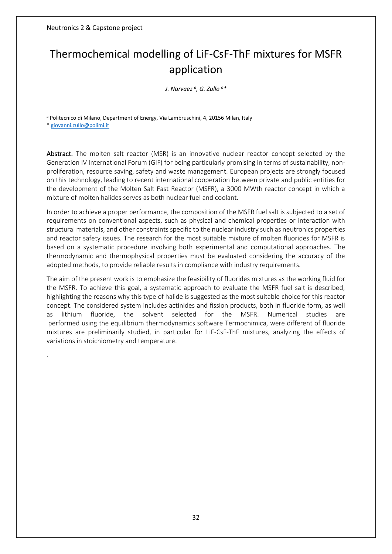Neutronics 2 & Capstone project

## Thermochemical modelling of LiF-CsF-ThF mixtures for MSFR application

*J. Narvaez <sup>a</sup> , G. Zullo <sup>a</sup>\**

<sup>a</sup> Politecnico di Milano, Department of Energy, Via Lambruschini, 4, 20156 Milan, Italy

[\\* giovanni.zullo@polimi.it](mailto:giovanni.zullo@polimi.it)

.

Abstract. The molten salt reactor (MSR) is an innovative nuclear reactor concept selected by the Generation IV International Forum (GIF) for being particularly promising in terms of sustainability, nonproliferation, resource saving, safety and waste management. European projects are strongly focused on this technology, leading to recent international cooperation between private and public entities for the development of the Molten Salt Fast Reactor (MSFR), a 3000 MWth reactor concept in which a mixture of molten halides serves as both nuclear fuel and coolant.

In order to achieve a proper performance, the composition of the MSFR fuel salt is subjected to a set of requirements on conventional aspects, such as physical and chemical properties or interaction with structural materials, and other constraints specific to the nuclear industry such as neutronics properties and reactor safety issues. The research for the most suitable mixture of molten fluorides for MSFR is based on a systematic procedure involving both experimental and computational approaches. The thermodynamic and thermophysical properties must be evaluated considering the accuracy of the adopted methods, to provide reliable results in compliance with industry requirements.

The aim of the present work is to emphasize the feasibility of fluorides mixtures as the working fluid for the MSFR. To achieve this goal, a systematic approach to evaluate the MSFR fuel salt is described, highlighting the reasons why this type of halide is suggested as the most suitable choice for this reactor concept. The considered system includes actinides and fission products, both in fluoride form, as well as lithium fluoride, the solvent selected for the MSFR. Numerical studies are performed using the equilibrium thermodynamics software Termochimica, were different of fluoride mixtures are preliminarily studied, in particular for LiF-CsF-ThF mixtures, analyzing the effects of variations in stoichiometry and temperature.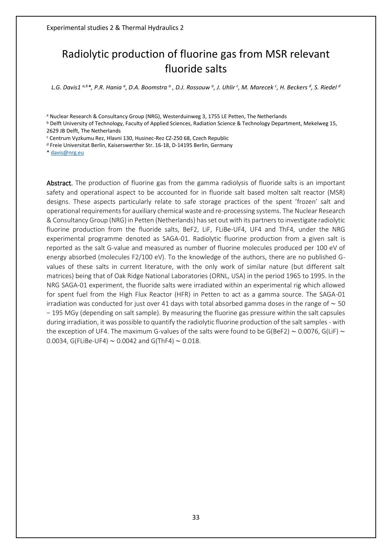## <span id="page-32-0"></span>Radiolytic production of fluorine gas from MSR relevant fluoride salts

L.G. Davis1 <sup>a,b</sup>\*, P.R. Hania <sup>a</sup>, D.A. Boomstra <sup>a</sup> , D.J. Rossouw <sup>a</sup>, J. Uhlir <sup>c</sup>, M. Marecek <sup>c</sup>, H. Beckers <sup>d</sup>, S. Riedel <sup>a</sup>

<sup>a</sup> Nuclear Research & Consultancy Group (NRG), Westerduinweg 3, 1755 LE Petten, The Netherlands

<sup>b</sup> Delft University of Technology, Faculty of Applied Sciences, Radiation Science & Technology Department, Mekelweg 15, 2629 JB Delft, The Netherlands

<sup>c</sup> Centrum Vyzkumu Rez, Hlavni 130, Husinec-Rez CZ-250 68, Czech Republic

<sup>d</sup> Freie Universitat Berlin, Kaiserswerther Str. 16-18, D-14195 Berlin, Germany

\* [davis@nrg.eu](mailto:davis@nrg.eu)

Abstract. The production of fluorine gas from the gamma radiolysis of fluoride salts is an important safety and operational aspect to be accounted for in fluoride salt based molten salt reactor (MSR) designs. These aspects particularly relate to safe storage practices of the spent 'frozen' salt and operational requirements for auxiliary chemical waste and re-processing systems. The Nuclear Research & Consultancy Group (NRG) in Petten (Netherlands) has set out with its partners to investigate radiolytic fluorine production from the fluoride salts, BeF2, LiF, FLiBe-UF4, UF4 and ThF4, under the NRG experimental programme denoted as SAGA-01. Radiolytic fluorine production from a given salt is reported as the salt G-value and measured as number of fluorine molecules produced per 100 eV of energy absorbed (molecules F2/100 eV). To the knowledge of the authors, there are no published Gvalues of these salts in current literature, with the only work of similar nature (but different salt matrices) being that of Oak Ridge National Laboratories (ORNL, USA) in the period 1965 to 1995. In the NRG SAGA-01 experiment, the fluoride salts were irradiated within an experimental rig which allowed for spent fuel from the High Flux Reactor (HFR) in Petten to act as a gamma source. The SAGA-01 irradiation was conducted for just over 41 days with total absorbed gamma doses in the range of ∼ 50 − 195 MGy (depending on salt sample). By measuring the fluorine gas pressure within the salt capsules during irradiation, it was possible to quantify the radiolytic fluorine production of the salt samples - with the exception of UF4. The maximum G-values of the salts were found to be G(BeF2) ∼ 0.0076, G(LiF) ∼ 0.0034, G(FLiBe-UF4) ∼ 0.0042 and G(ThF4) ∼ 0.018.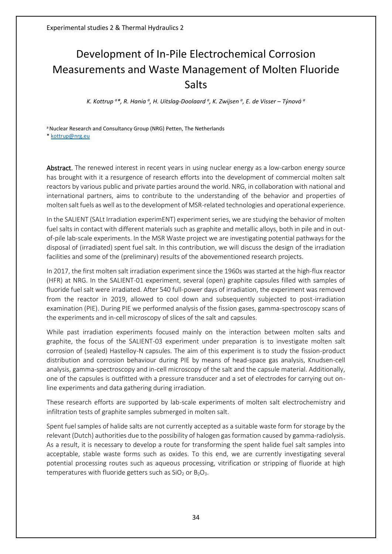## Development of In-Pile Electrochemical Corrosion Measurements and Waste Management of Molten Fluoride Salts

*K. Kottrup <sup>a</sup>\*, R. Hania <sup>a</sup> , H. Uitslag-Doolaard <sup>a</sup> , K. Zwijsen <sup>a</sup> , E. de Visser – Týnová <sup>a</sup>*

a Nuclear Research and Consultancy Group (NRG) Petten, The Netherlands \* [kottrup@nrg.eu](mailto:kottrup@nrg.eu)

Abstract. The renewed interest in recent years in using nuclear energy as a low-carbon energy source has brought with it a resurgence of research efforts into the development of commercial molten salt reactors by various public and private parties around the world. NRG, in collaboration with national and international partners, aims to contribute to the understanding of the behavior and properties of molten salt fuels as well as to the development of MSR-related technologies and operational experience.

In the SALIENT (SALt Irradiation experimENT) experiment series, we are studying the behavior of molten fuel salts in contact with different materials such as graphite and metallic alloys, both in pile and in outof-pile lab-scale experiments. In the MSR Waste project we are investigating potential pathways for the disposal of (irradiated) spent fuel salt. In this contribution, we will discuss the design of the irradiation facilities and some of the (preliminary) results of the abovementioned research projects.

In 2017, the first molten salt irradiation experiment since the 1960s was started at the high-flux reactor (HFR) at NRG. In the SALIENT-01 experiment, several (open) graphite capsules filled with samples of fluoride fuel salt were irradiated. After 540 full-power days of irradiation, the experiment was removed from the reactor in 2019, allowed to cool down and subsequently subjected to post-irradiation examination (PIE). During PIE we performed analysis of the fission gases, gamma-spectroscopy scans of the experiments and in-cell microscopy of slices of the salt and capsules.

While past irradiation experiments focused mainly on the interaction between molten salts and graphite, the focus of the SALIENT-03 experiment under preparation is to investigate molten salt corrosion of (sealed) Hastelloy-N capsules. The aim of this experiment is to study the fission-product distribution and corrosion behaviour during PIE by means of head-space gas analysis, Knudsen-cell analysis, gamma-spectroscopy and in-cell microscopy of the salt and the capsule material. Additionally, one of the capsules is outfitted with a pressure transducer and a set of electrodes for carrying out online experiments and data gathering during irradiation.

These research efforts are supported by lab-scale experiments of molten salt electrochemistry and infiltration tests of graphite samples submerged in molten salt.

Spent fuel samples of halide salts are not currently accepted as a suitable waste form for storage by the relevant (Dutch) authorities due to the possibility of halogen gas formation caused by gamma-radiolysis. As a result, it is necessary to develop a route for transforming the spent halide fuel salt samples into acceptable, stable waste forms such as oxides. To this end, we are currently investigating several potential processing routes such as aqueous processing, vitrification or stripping of fluoride at high temperatures with fluoride getters such as  $SiO<sub>2</sub>$  or  $B<sub>2</sub>O<sub>3</sub>$ .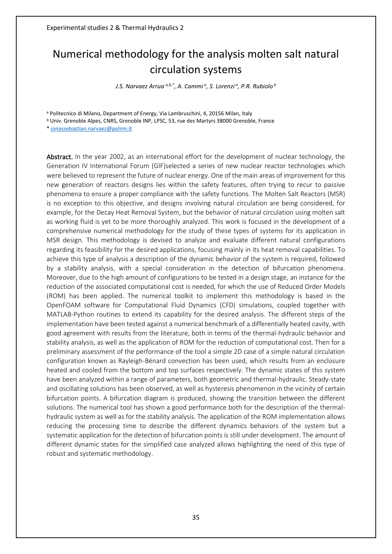## Numerical methodology for the analysis molten salt natural circulation systems

*J.S. Narvaez Arrua a,b,\* , A. Cammi <sup>a</sup> , S. Lorenzi <sup>a</sup> , P.R. Rubiolo <sup>b</sup>*

<sup>a</sup> Politecnico di Milano, Department of Energy, Via Lambruschini, 4, 20156 Milan, Italy

<sup>b</sup> Univ. Grenoble Alpes, CNRS, Grenoble INP, LPSC, 53, rue des Martyrs 38000 Grenoble, France

\* jonassebastian.narvaez@polimi.it

Abstract. In the year 2002, as an international effort for the development of nuclear technology, the Generation IV International Forum (GIF)selected a series of new nuclear reactor technologies which were believed to represent the future of nuclear energy. One of the main areas of improvement for this new generation of reactors designs lies within the safety features, often trying to recur to passive phenomena to ensure a proper compliance with the safety functions. The Molten Salt Reactors (MSR) is no exception to this objective, and designs involving natural circulation are being considered, for example, for the Decay Heat Removal System, but the behavior of natural circulation using molten salt as working fluid is yet to be more thoroughly analyzed. This work is focused in the development of a comprehensive numerical methodology for the study of these types of systems for its application in MSR design. This methodology is devised to analyze and evaluate different natural configurations regarding its feasibility for the desired applications, focusing mainly in its heat removal capabilities. To achieve this type of analysis a description of the dynamic behavior of the system is required, followed by a stability analysis, with a special consideration in the detection of bifurcation phenomena. Moreover, due to the high amount of configurations to be tested in a design stage, an instance for the reduction of the associated computational cost is needed, for which the use of Reduced Order Models (ROM) has been applied. The numerical toolkit to implement this methodology is based in the OpenFOAM software for Computational Fluid Dynamics (CFD) simulations, coupled together with MATLAB-Python routines to extend its capability for the desired analysis. The different steps of the implementation have been tested against a numerical benchmark of a differentially heated cavity, with good agreement with results from the literature, both in terms of the thermal-hydraulic behavior and stability analysis, as well as the application of ROM for the reduction of computational cost. Then for a preliminary assessment of the performance of the tool a simple 2D case of a simple natural circulation configuration known as Rayleigh-Bénard convection has been used, which results from an enclosure heated and cooled from the bottom and top surfaces respectively. The dynamic states of this system have been analyzed within a range of parameters, both geometric and thermal-hydraulic. Steady-state and oscillating solutions has been observed, as well as hysteresis phenomenon in the vicinity of certain bifurcation points. A bifurcation diagram is produced, showing the transition between the different solutions. The numerical tool has shown a good performance both for the description of the thermalhydraulic system as well as for the stability analysis. The application of the ROM implementation allows reducing the processing time to describe the different dynamics behaviors of the system but a systematic application for the detection of bifurcation points is still under development. The amount of different dynamic states for the simplified case analyzed allows highlighting the need of this type of robust and systematic methodology.